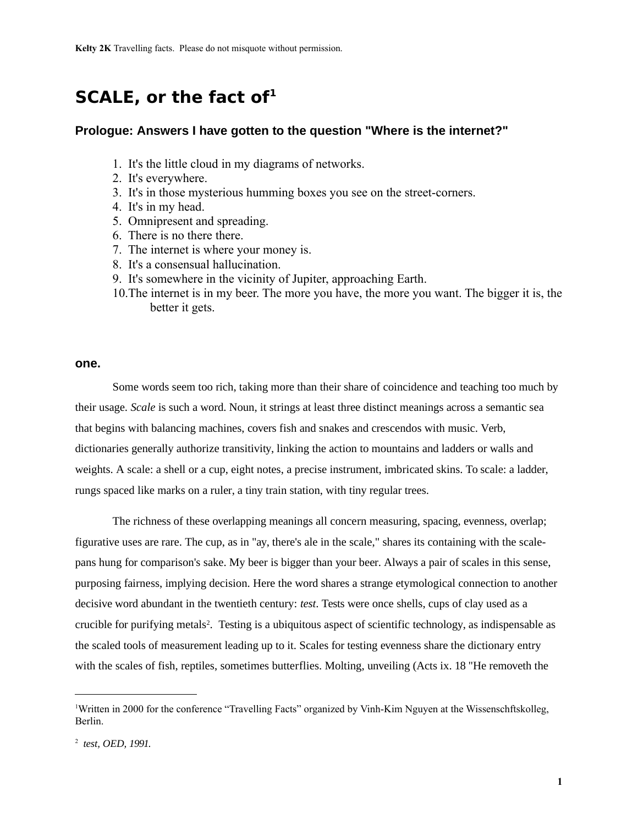# **SCALE, or the fact of[1](#page-0-0)**

## **Prologue: Answers I have gotten to the question "Where is the internet?"**

- 1. It's the little cloud in my diagrams of networks.
- 2. It's everywhere.
- 3. It's in those mysterious humming boxes you see on the street-corners.
- 4. It's in my head.
- 5. Omnipresent and spreading.
- 6. There is no there there.
- 7. The internet is where your money is.
- 8. It's a consensual hallucination.
- 9. It's somewhere in the vicinity of Jupiter, approaching Earth.
- 10.The internet is in my beer. The more you have, the more you want. The bigger it is, the better it gets.

#### **one.**

Some words seem too rich, taking more than their share of coincidence and teaching too much by their usage. *Scale* is such a word. Noun, it strings at least three distinct meanings across a semantic sea that begins with balancing machines, covers fish and snakes and crescendos with music. Verb, dictionaries generally authorize transitivity, linking the action to mountains and ladders or walls and weights. A scale: a shell or a cup, eight notes, a precise instrument, imbricated skins. To scale: a ladder, rungs spaced like marks on a ruler, a tiny train station, with tiny regular trees.

The richness of these overlapping meanings all concern measuring, spacing, evenness, overlap; figurative uses are rare. The cup, as in "ay, there's ale in the scale," shares its containing with the scalepans hung for comparison's sake. My beer is bigger than your beer. Always a pair of scales in this sense, purposing fairness, implying decision. Here the word shares a strange etymological connection to another decisive word abundant in the twentieth century: *test*. Tests were once shells, cups of clay used as a crucible for purifying metals<sup>[2](#page-0-1)</sup>. Testing is a ubiquitous aspect of scientific technology, as indispensable as the scaled tools of measurement leading up to it. Scales for testing evenness share the dictionary entry with the scales of fish, reptiles, sometimes butterflies. Molting, unveiling (Acts ix. 18 "He removeth the

<span id="page-0-0"></span><sup>1</sup>Written in 2000 for the conference "Travelling Facts" organized by Vinh-Kim Nguyen at the Wissenschftskolleg, Berlin.

<span id="page-0-1"></span><sup>2</sup> *test, OED, 1991.*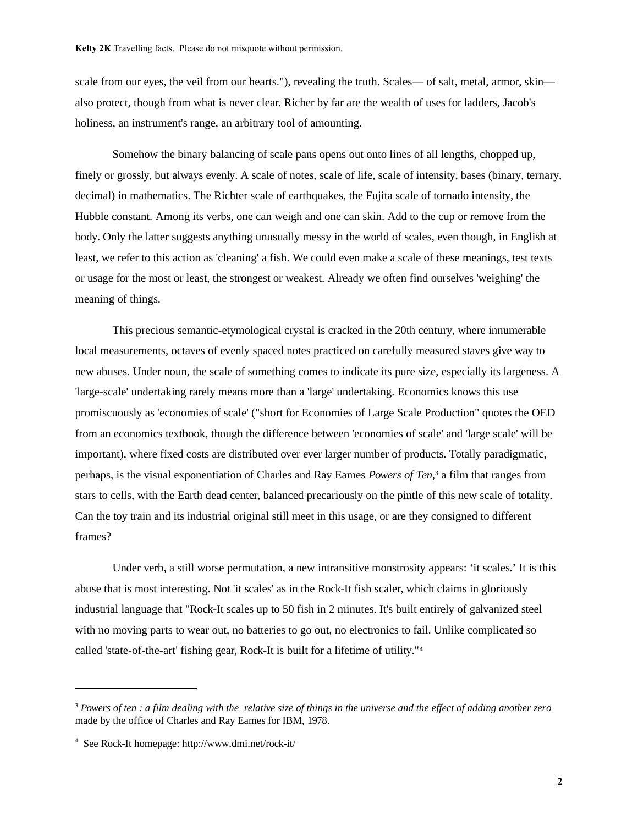scale from our eyes, the veil from our hearts."), revealing the truth. Scales— of salt, metal, armor, skin also protect, though from what is never clear. Richer by far are the wealth of uses for ladders, Jacob's holiness, an instrument's range, an arbitrary tool of amounting.

Somehow the binary balancing of scale pans opens out onto lines of all lengths, chopped up, finely or grossly, but always evenly. A scale of notes, scale of life, scale of intensity, bases (binary, ternary, decimal) in mathematics. The Richter scale of earthquakes, the Fujita scale of tornado intensity, the Hubble constant. Among its verbs, one can weigh and one can skin. Add to the cup or remove from the body. Only the latter suggests anything unusually messy in the world of scales, even though, in English at least, we refer to this action as 'cleaning' a fish. We could even make a scale of these meanings, test texts or usage for the most or least, the strongest or weakest. Already we often find ourselves 'weighing' the meaning of things.

This precious semantic-etymological crystal is cracked in the 20th century, where innumerable local measurements, octaves of evenly spaced notes practiced on carefully measured staves give way to new abuses. Under noun, the scale of something comes to indicate its pure size, especially its largeness. A 'large-scale' undertaking rarely means more than a 'large' undertaking. Economics knows this use promiscuously as 'economies of scale' ("short for Economies of Large Scale Production" quotes the OED from an economics textbook, though the difference between 'economies of scale' and 'large scale' will be important), where fixed costs are distributed over ever larger number of products. Totally paradigmatic, perhaps, is the visual exponentiation of Charles and Ray Eames *Powers of Ten*, [3](#page-1-0) a film that ranges from stars to cells, with the Earth dead center, balanced precariously on the pintle of this new scale of totality. Can the toy train and its industrial original still meet in this usage, or are they consigned to different frames?

Under verb, a still worse permutation, a new intransitive monstrosity appears: 'it scales.' It is this abuse that is most interesting. Not 'it scales' as in the Rock-It fish scaler, which claims in gloriously industrial language that "Rock-It scales up to 50 fish in 2 minutes. It's built entirely of galvanized steel with no moving parts to wear out, no batteries to go out, no electronics to fail. Unlike complicated so called 'state-of-the-art' fishing gear, Rock-It is built for a lifetime of utility."[4](#page-1-1)

<span id="page-1-0"></span><sup>3</sup> *Powers of ten : a film dealing with the relative size of things in the universe and the effect of adding another zero* made by the office of Charles and Ray Eames for IBM, 1978.

<span id="page-1-1"></span><sup>4</sup> See Rock-It homepage: http://www.dmi.net/rock-it/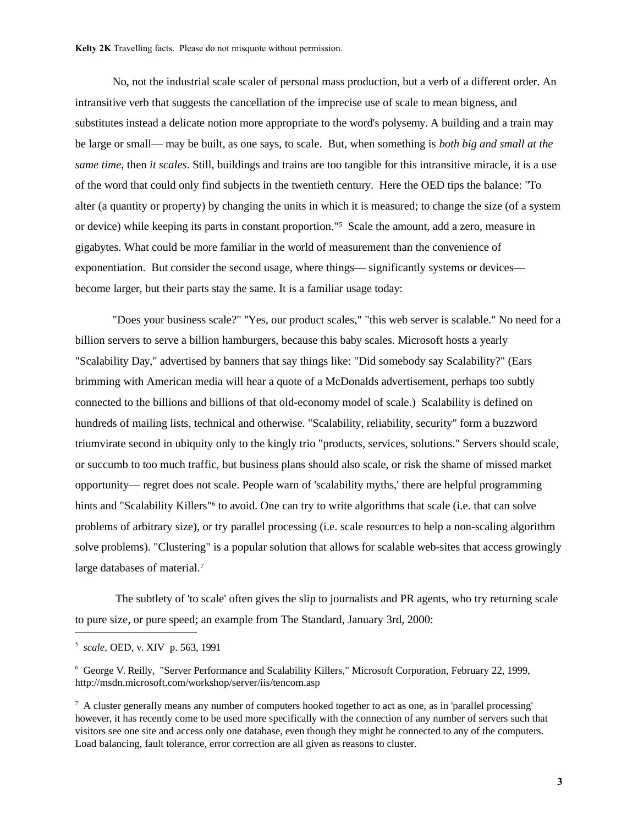No, not the industrial scale scaler of personal mass production, but a verb of a different order. An intransitive verb that suggests the cancellation of the imprecise use of scale to mean bigness, and substitutes instead a delicate notion more appropriate to the word's polysemy. A building and a train may be large or small— may be built, as one says, to scale. But, when something is *both big and small at the same time*, then *it scales*. Still, buildings and trains are too tangible for this intransitive miracle, it is a use of the word that could only find subjects in the twentieth century. Here the OED tips the balance: "To alter (a quantity or property) by changing the units in which it is measured; to change the size (of a system or device) while keeping its parts in constant proportion."[5](#page-2-0) Scale the amount, add a zero, measure in gigabytes. What could be more familiar in the world of measurement than the convenience of exponentiation. But consider the second usage, where things— significantly systems or devices become larger, but their parts stay the same. It is a familiar usage today:

"Does your business scale?" "Yes, our product scales," "this web server is scalable." No need for a billion servers to serve a billion hamburgers, because this baby scales. Microsoft hosts a yearly "Scalability Day," advertised by banners that say things like: "Did somebody say Scalability?" (Ears brimming with American media will hear a quote of a McDonalds advertisement, perhaps too subtly connected to the billions and billions of that old-economy model of scale.) Scalability is defined on hundreds of mailing lists, technical and otherwise. "Scalability, reliability, security" form a buzzword triumvirate second in ubiquity only to the kingly trio "products, services, solutions." Servers should scale, or succumb to too much traffic, but business plans should also scale, or risk the shame of missed market opportunity— regret does not scale. People warn of 'scalability myths,' there are helpful programming hints and "Scalability Killers"<sup>[6](#page-2-1)</sup> to avoid. One can try to write algorithms that scale (i.e. that can solve problems of arbitrary size), or try parallel processing (i.e. scale resources to help a non-scaling algorithm solve problems). "Clustering" is a popular solution that allows for scalable web-sites that access growingly large databases of material.<sup>[7](#page-2-2)</sup>

 The subtlety of 'to scale' often gives the slip to journalists and PR agents, who try returning scale to pure size, or pure speed; an example from The Standard, January 3rd, 2000:

<span id="page-2-0"></span><sup>5</sup> *scale,* OED, v. XIV p. 563, 1991

<span id="page-2-1"></span><sup>6</sup> George V. Reilly, "Server Performance and Scalability Killers," Microsoft Corporation, February 22, 1999, http://msdn.microsoft.com/workshop/server/iis/tencom.asp

<span id="page-2-2"></span> $7$  A cluster generally means any number of computers hooked together to act as one, as in 'parallel processing' however, it has recently come to be used more specifically with the connection of any number of servers such that visitors see one site and access only one database, even though they might be connected to any of the computers. Load balancing, fault tolerance, error correction are all given as reasons to cluster.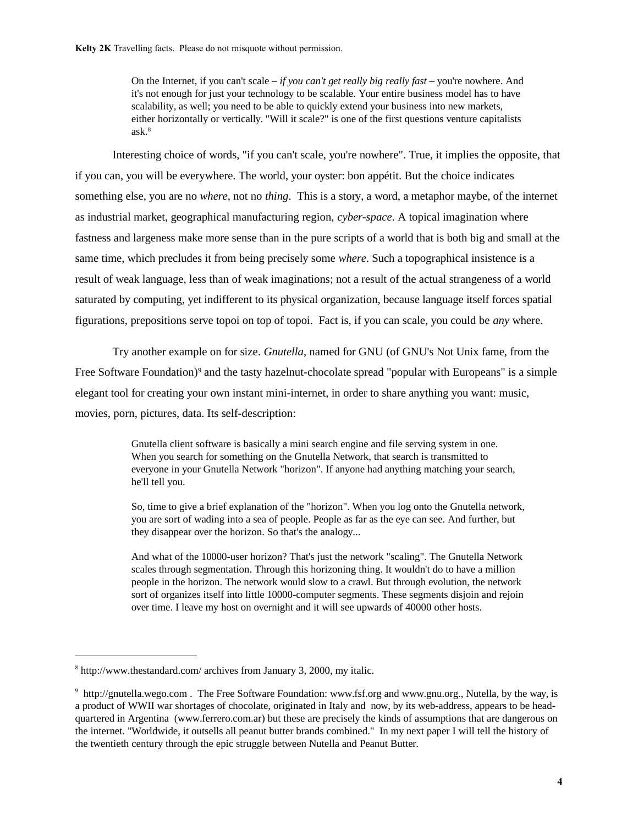On the Internet, if you can't scale – *if you can't get really big really fast* – you're nowhere. And it's not enough for just your technology to be scalable. Your entire business model has to have scalability, as well; you need to be able to quickly extend your business into new markets, either horizontally or vertically. "Will it scale?" is one of the first questions venture capitalists ask.[8](#page-3-0)

Interesting choice of words, "if you can't scale, you're nowhere". True, it implies the opposite, that if you can, you will be everywhere. The world, your oyster: bon appétit. But the choice indicates something else, you are no *where*, not no *thing*. This is a story, a word, a metaphor maybe, of the internet as industrial market, geographical manufacturing region, *cyber-space*. A topical imagination where fastness and largeness make more sense than in the pure scripts of a world that is both big and small at the same time, which precludes it from being precisely some *where*. Such a topographical insistence is a result of weak language, less than of weak imaginations; not a result of the actual strangeness of a world saturated by computing, yet indifferent to its physical organization, because language itself forces spatial figurations, prepositions serve topoi on top of topoi. Fact is, if you can scale, you could be *any* where.

Try another example on for size. *Gnutella*, named for GNU (of GNU's Not Unix fame, from the Free Software Foundation)<sup>[9](#page-3-1)</sup> and the tasty hazelnut-chocolate spread "popular with Europeans" is a simple elegant tool for creating your own instant mini-internet, in order to share anything you want: music, movies, porn, pictures, data. Its self-description:

> Gnutella client software is basically a mini search engine and file serving system in one. When you search for something on the Gnutella Network, that search is transmitted to everyone in your Gnutella Network "horizon". If anyone had anything matching your search, he'll tell you.

So, time to give a brief explanation of the "horizon". When you log onto the Gnutella network, you are sort of wading into a sea of people. People as far as the eye can see. And further, but they disappear over the horizon. So that's the analogy...

And what of the 10000-user horizon? That's just the network "scaling". The Gnutella Network scales through segmentation. Through this horizoning thing. It wouldn't do to have a million people in the horizon. The network would slow to a crawl. But through evolution, the network sort of organizes itself into little 10000-computer segments. These segments disjoin and rejoin over time. I leave my host on overnight and it will see upwards of 40000 other hosts.

<span id="page-3-0"></span><sup>8</sup> http://www.thestandard.com/ archives from January 3, 2000, my italic.

<span id="page-3-1"></span><sup>&</sup>lt;sup>9</sup> http://gnutella.wego.com. The Free Software Foundation: www.fsf.org and www.gnu.org., Nutella, by the way, is a product of WWII war shortages of chocolate, originated in Italy and now, by its web-address, appears to be headquartered in Argentina (www.ferrero.com.ar) but these are precisely the kinds of assumptions that are dangerous on the internet. "Worldwide, it outsells all peanut butter brands combined." In my next paper I will tell the history of the twentieth century through the epic struggle between Nutella and Peanut Butter.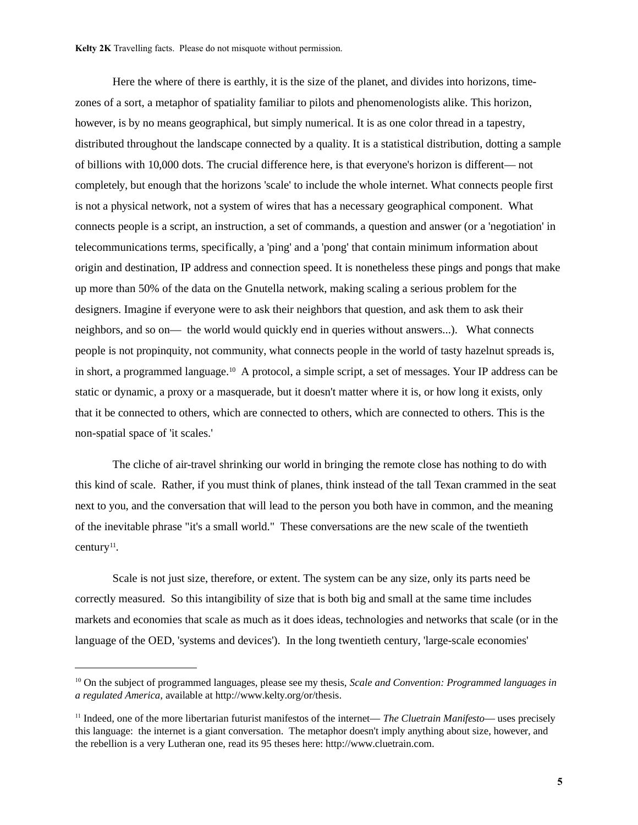Here the where of there is earthly, it is the size of the planet, and divides into horizons, timezones of a sort, a metaphor of spatiality familiar to pilots and phenomenologists alike. This horizon, however, is by no means geographical, but simply numerical. It is as one color thread in a tapestry, distributed throughout the landscape connected by a quality. It is a statistical distribution, dotting a sample of billions with 10,000 dots. The crucial difference here, is that everyone's horizon is different— not completely, but enough that the horizons 'scale' to include the whole internet. What connects people first is not a physical network, not a system of wires that has a necessary geographical component. What connects people is a script, an instruction, a set of commands, a question and answer (or a 'negotiation' in telecommunications terms, specifically, a 'ping' and a 'pong' that contain minimum information about origin and destination, IP address and connection speed. It is nonetheless these pings and pongs that make up more than 50% of the data on the Gnutella network, making scaling a serious problem for the designers. Imagine if everyone were to ask their neighbors that question, and ask them to ask their neighbors, and so on— the world would quickly end in queries without answers...). What connects people is not propinquity, not community, what connects people in the world of tasty hazelnut spreads is, in short, a programmed language.[10](#page-4-0) A protocol, a simple script, a set of messages. Your IP address can be static or dynamic, a proxy or a masquerade, but it doesn't matter where it is, or how long it exists, only that it be connected to others, which are connected to others, which are connected to others. This is the non-spatial space of 'it scales.'

The cliche of air-travel shrinking our world in bringing the remote close has nothing to do with this kind of scale. Rather, if you must think of planes, think instead of the tall Texan crammed in the seat next to you, and the conversation that will lead to the person you both have in common, and the meaning of the inevitable phrase "it's a small world." These conversations are the new scale of the twentieth century<sup>[11](#page-4-1)</sup>.

Scale is not just size, therefore, or extent. The system can be any size, only its parts need be correctly measured. So this intangibility of size that is both big and small at the same time includes markets and economies that scale as much as it does ideas, technologies and networks that scale (or in the language of the OED, 'systems and devices'). In the long twentieth century, 'large-scale economies'

<span id="page-4-0"></span><sup>&</sup>lt;sup>10</sup> On the subject of programmed languages, please see my thesis, *Scale and Convention: Programmed languages in a regulated America,* available at http://www.kelty.org/or/thesis.

<span id="page-4-1"></span><sup>11</sup> Indeed, one of the more libertarian futurist manifestos of the internet— *The Cluetrain Manifesto*— uses precisely this language: the internet is a giant conversation. The metaphor doesn't imply anything about size, however, and the rebellion is a very Lutheran one, read its 95 theses here: http://www.cluetrain.com.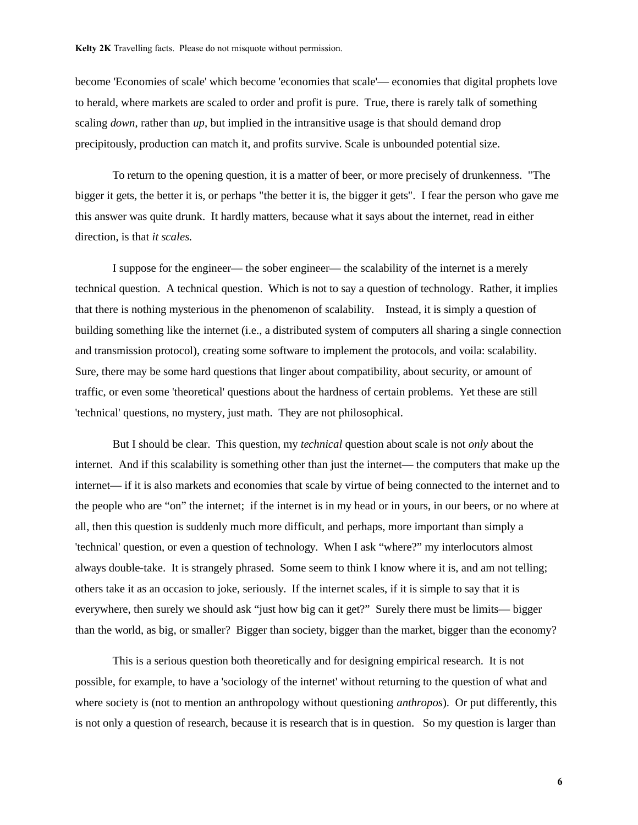become 'Economies of scale' which become 'economies that scale'— economies that digital prophets love to herald, where markets are scaled to order and profit is pure. True, there is rarely talk of something scaling *down*, rather than *up*, but implied in the intransitive usage is that should demand drop precipitously, production can match it, and profits survive. Scale is unbounded potential size.

To return to the opening question, it is a matter of beer, or more precisely of drunkenness. "The bigger it gets, the better it is, or perhaps "the better it is, the bigger it gets". I fear the person who gave me this answer was quite drunk. It hardly matters, because what it says about the internet, read in either direction, is that *it scales.*

I suppose for the engineer— the sober engineer— the scalability of the internet is a merely technical question. A technical question. Which is not to say a question of technology. Rather, it implies that there is nothing mysterious in the phenomenon of scalability. Instead, it is simply a question of building something like the internet (i.e., a distributed system of computers all sharing a single connection and transmission protocol), creating some software to implement the protocols, and voila: scalability. Sure, there may be some hard questions that linger about compatibility, about security, or amount of traffic, or even some 'theoretical' questions about the hardness of certain problems. Yet these are still 'technical' questions, no mystery, just math. They are not philosophical.

But I should be clear. This question, my *technical* question about scale is not *only* about the internet. And if this scalability is something other than just the internet— the computers that make up the internet— if it is also markets and economies that scale by virtue of being connected to the internet and to the people who are "on" the internet; if the internet is in my head or in yours, in our beers, or no where at all, then this question is suddenly much more difficult, and perhaps, more important than simply a 'technical' question, or even a question of technology. When I ask "where?" my interlocutors almost always double-take. It is strangely phrased. Some seem to think I know where it is, and am not telling; others take it as an occasion to joke, seriously. If the internet scales, if it is simple to say that it is everywhere, then surely we should ask "just how big can it get?" Surely there must be limits— bigger than the world, as big, or smaller? Bigger than society, bigger than the market, bigger than the economy?

This is a serious question both theoretically and for designing empirical research. It is not possible, for example, to have a 'sociology of the internet' without returning to the question of what and where society is (not to mention an anthropology without questioning *anthropos*). Or put differently, this is not only a question of research, because it is research that is in question. So my question is larger than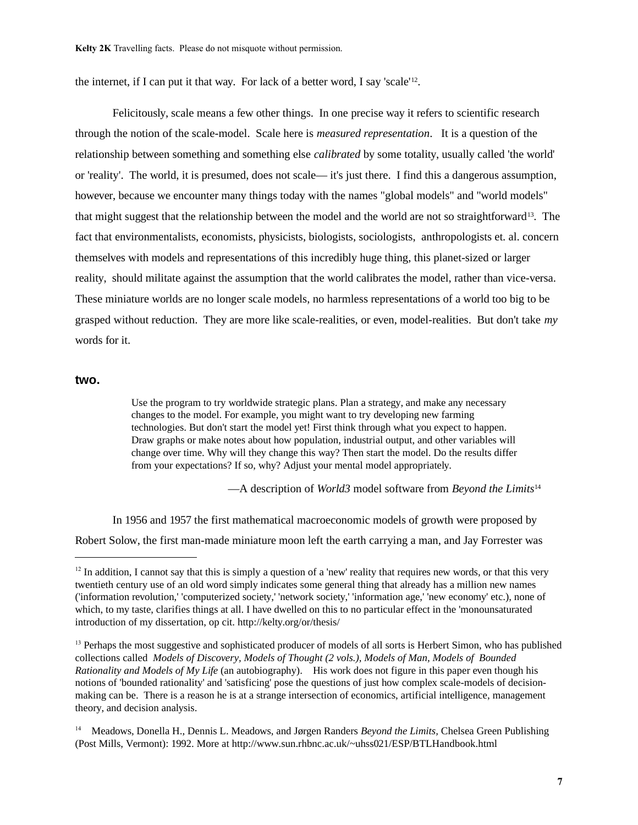the internet, if I can put it that way. For lack of a better word, I say 'scale'[12](#page-6-0) .

Felicitously, scale means a few other things. In one precise way it refers to scientific research through the notion of the scale-model. Scale here is *measured representation*. It is a question of the relationship between something and something else *calibrated* by some totality, usually called 'the world' or 'reality'. The world, it is presumed, does not scale— it's just there. I find this a dangerous assumption, however, because we encounter many things today with the names "global models" and "world models" that might suggest that the relationship between the model and the world are not so straightforward[13](#page-6-1). The fact that environmentalists, economists, physicists, biologists, sociologists, anthropologists et. al. concern themselves with models and representations of this incredibly huge thing, this planet-sized or larger reality, should militate against the assumption that the world calibrates the model, rather than vice-versa. These miniature worlds are no longer scale models, no harmless representations of a world too big to be grasped without reduction. They are more like scale-realities, or even, model-realities. But don't take *my* words for it.

## **two.**

Use the program to try worldwide strategic plans. Plan a strategy, and make any necessary changes to the model. For example, you might want to try developing new farming technologies. But don't start the model yet! First think through what you expect to happen. Draw graphs or make notes about how population, industrial output, and other variables will change over time. Why will they change this way? Then start the model. Do the results differ from your expectations? If so, why? Adjust your mental model appropriately.

—A description of *World3* model software from *Beyond the Limits*[14](#page-6-2)

In 1956 and 1957 the first mathematical macroeconomic models of growth were proposed by

Robert Solow, the first man-made miniature moon left the earth carrying a man, and Jay Forrester was

<span id="page-6-0"></span><sup>&</sup>lt;sup>12</sup> In addition, I cannot say that this is simply a question of a 'new' reality that requires new words, or that this very twentieth century use of an old word simply indicates some general thing that already has a million new names ('information revolution,' 'computerized society,' 'network society,' 'information age,' 'new economy' etc.), none of which, to my taste, clarifies things at all. I have dwelled on this to no particular effect in the 'monounsaturated introduction of my dissertation, op cit. http://kelty.org/or/thesis/

<span id="page-6-1"></span><sup>&</sup>lt;sup>13</sup> Perhaps the most suggestive and sophisticated producer of models of all sorts is Herbert Simon, who has published collections called *Models of Discovery, Models of Thought (2 vols.), Models of Man, Models of Bounded Rationality and Models of My Life* (an autobiography). His work does not figure in this paper even though his notions of 'bounded rationality' and 'satisficing' pose the questions of just how complex scale-models of decisionmaking can be. There is a reason he is at a strange intersection of economics, artificial intelligence, management theory, and decision analysis.

<span id="page-6-2"></span><sup>14</sup> Meadows, Donella H., Dennis L. Meadows, and Jørgen Randers *Beyond the Limits,* Chelsea Green Publishing (Post Mills, Vermont): 1992. More at http://www.sun.rhbnc.ac.uk/~uhss021/ESP/BTLHandbook.html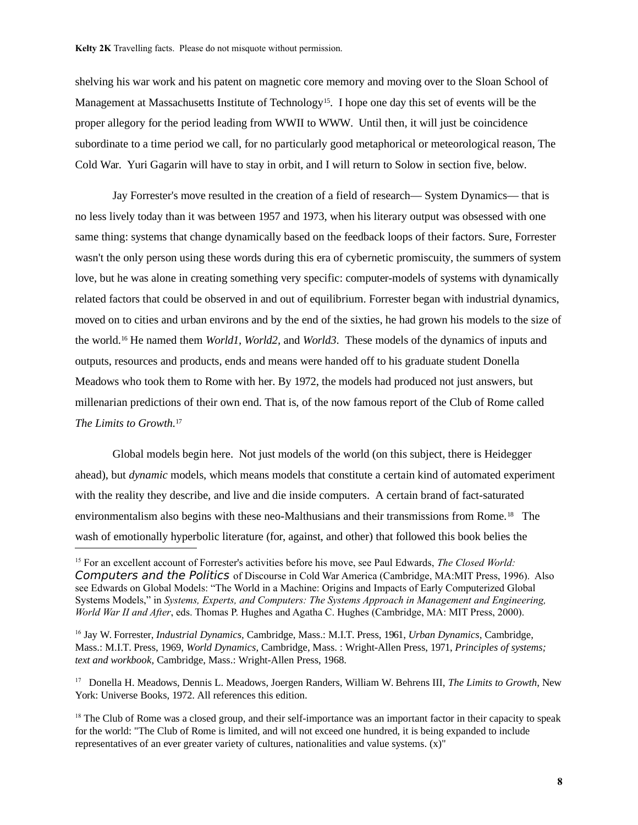shelving his war work and his patent on magnetic core memory and moving over to the Sloan School of Management at Massachusetts Institute of Technology<sup>[15](#page-7-0)</sup>. I hope one day this set of events will be the proper allegory for the period leading from WWII to WWW. Until then, it will just be coincidence subordinate to a time period we call, for no particularly good metaphorical or meteorological reason, The Cold War. Yuri Gagarin will have to stay in orbit, and I will return to Solow in section five, below.

Jay Forrester's move resulted in the creation of a field of research— System Dynamics— that is no less lively today than it was between 1957 and 1973, when his literary output was obsessed with one same thing: systems that change dynamically based on the feedback loops of their factors. Sure, Forrester wasn't the only person using these words during this era of cybernetic promiscuity, the summers of system love, but he was alone in creating something very specific: computer-models of systems with dynamically related factors that could be observed in and out of equilibrium. Forrester began with industrial dynamics, moved on to cities and urban environs and by the end of the sixties, he had grown his models to the size of the world.[16](#page-7-1) He named them *World1, World2,* and *World3*. These models of the dynamics of inputs and outputs, resources and products, ends and means were handed off to his graduate student Donella Meadows who took them to Rome with her. By 1972, the models had produced not just answers, but millenarian predictions of their own end. That is, of the now famous report of the Club of Rome called *The Limits to Growth.*[17](#page-7-2)

Global models begin here. Not just models of the world (on this subject, there is Heidegger ahead), but *dynamic* models, which means models that constitute a certain kind of automated experiment with the reality they describe, and live and die inside computers. A certain brand of fact-saturated environmentalism also begins with these neo-Malthusians and their transmissions from Rome.[18](#page-7-3) The wash of emotionally hyperbolic literature (for, against, and other) that followed this book belies the

<span id="page-7-1"></span><sup>16</sup> Jay W. Forrester, *Industrial Dynamics,* Cambridge, Mass.: M.I.T. Press, 1961, *Urban Dynamics*, Cambridge, Mass.: M.I.T. Press, 1969, *World Dynamics*, Cambridge, Mass. : Wright-Allen Press, 1971, *Principles of systems; text and workbook,* Cambridge, Mass.: Wright-Allen Press, 1968.

<span id="page-7-2"></span><sup>17</sup> Donella H. Meadows, Dennis L. Meadows, Joergen Randers, William W. Behrens III, *The Limits to Growth*, New York: Universe Books, 1972. All references this edition.

<span id="page-7-3"></span> $18$  The Club of Rome was a closed group, and their self-importance was an important factor in their capacity to speak for the world: "The Club of Rome is limited, and will not exceed one hundred, it is being expanded to include representatives of an ever greater variety of cultures, nationalities and value systems. (x)"

<span id="page-7-0"></span><sup>15</sup> For an excellent account of Forrester's activities before his move, see Paul Edwards, *The Closed World:* Computers and the Politics of Discourse in Cold War America (Cambridge, MA:MIT Press, 1996). Also see Edwards on Global Models: "The World in a Machine: Origins and Impacts of Early Computerized Global Systems Models," in *Systems, Experts, and Computers: The Systems Approach in Management and Engineering, World War II and After*, eds. Thomas P. Hughes and Agatha C. Hughes (Cambridge, MA: MIT Press, 2000).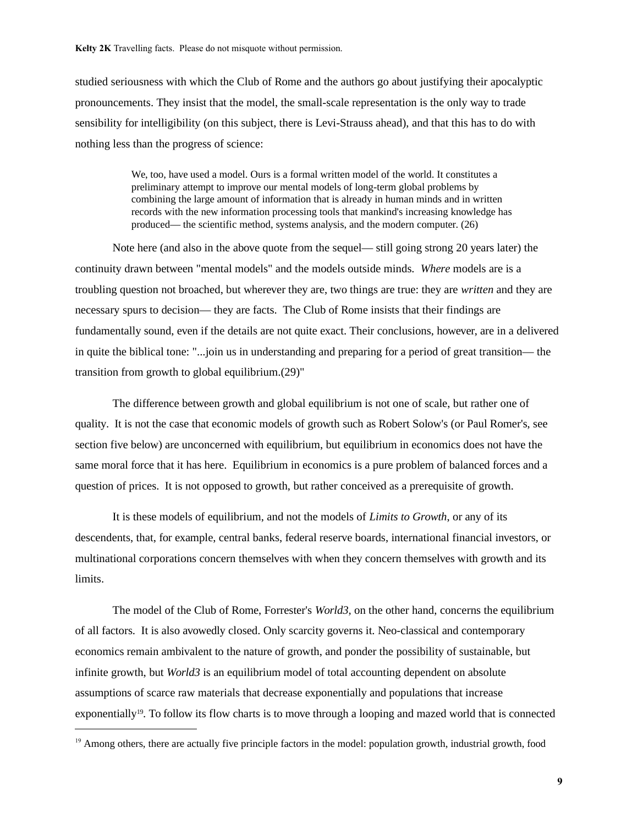studied seriousness with which the Club of Rome and the authors go about justifying their apocalyptic pronouncements. They insist that the model, the small-scale representation is the only way to trade sensibility for intelligibility (on this subject, there is Levi-Strauss ahead), and that this has to do with nothing less than the progress of science:

> We, too, have used a model. Ours is a formal written model of the world. It constitutes a preliminary attempt to improve our mental models of long-term global problems by combining the large amount of information that is already in human minds and in written records with the new information processing tools that mankind's increasing knowledge has produced— the scientific method, systems analysis, and the modern computer. (26)

Note here (and also in the above quote from the sequel— still going strong 20 years later) the continuity drawn between "mental models" and the models outside minds. *Where* models are is a troubling question not broached, but wherever they are, two things are true: they are *written* and they are necessary spurs to decision— they are facts. The Club of Rome insists that their findings are fundamentally sound, even if the details are not quite exact. Their conclusions, however, are in a delivered in quite the biblical tone: "...join us in understanding and preparing for a period of great transition— the transition from growth to global equilibrium.(29)"

The difference between growth and global equilibrium is not one of scale, but rather one of quality. It is not the case that economic models of growth such as Robert Solow's (or Paul Romer's, see section five below) are unconcerned with equilibrium, but equilibrium in economics does not have the same moral force that it has here. Equilibrium in economics is a pure problem of balanced forces and a question of prices. It is not opposed to growth, but rather conceived as a prerequisite of growth.

It is these models of equilibrium, and not the models of *Limits to Growth*, or any of its descendents, that, for example, central banks, federal reserve boards, international financial investors, or multinational corporations concern themselves with when they concern themselves with growth and its limits.

The model of the Club of Rome, Forrester's *World3,* on the other hand, concerns the equilibrium of all factors. It is also avowedly closed. Only scarcity governs it. Neo-classical and contemporary economics remain ambivalent to the nature of growth, and ponder the possibility of sustainable, but infinite growth, but *World3* is an equilibrium model of total accounting dependent on absolute assumptions of scarce raw materials that decrease exponentially and populations that increase exponentially<sup>[19](#page-8-0)</sup>. To follow its flow charts is to move through a looping and mazed world that is connected

<span id="page-8-0"></span><sup>&</sup>lt;sup>19</sup> Among others, there are actually five principle factors in the model: population growth, industrial growth, food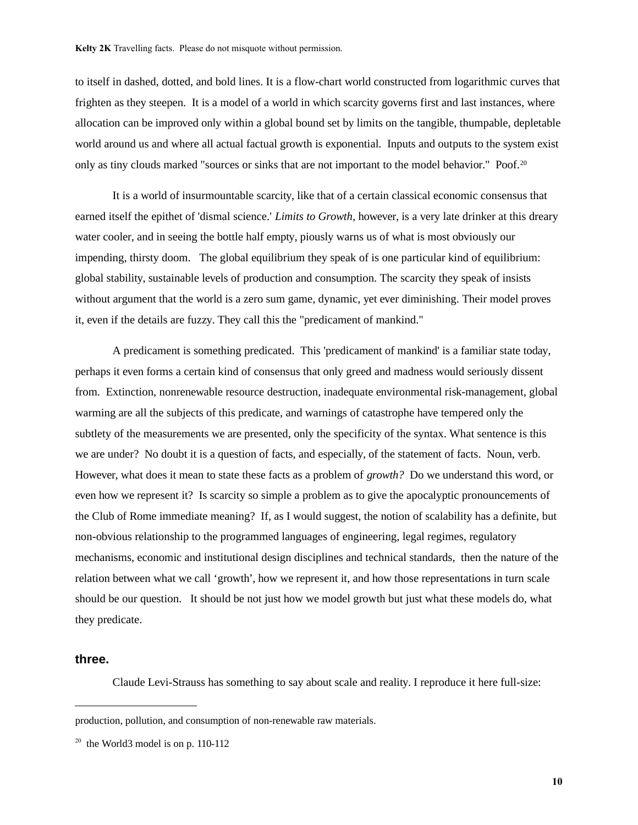to itself in dashed, dotted, and bold lines. It is a flow-chart world constructed from logarithmic curves that frighten as they steepen. It is a model of a world in which scarcity governs first and last instances, where allocation can be improved only within a global bound set by limits on the tangible, thumpable, depletable world around us and where all actual factual growth is exponential. Inputs and outputs to the system exist only as tiny clouds marked "sources or sinks that are not important to the model behavior." Poof.[20](#page-9-0)

It is a world of insurmountable scarcity, like that of a certain classical economic consensus that earned itself the epithet of 'dismal science.' *Limits to Growth,* however, is a very late drinker at this dreary water cooler, and in seeing the bottle half empty, piously warns us of what is most obviously our impending, thirsty doom. The global equilibrium they speak of is one particular kind of equilibrium: global stability, sustainable levels of production and consumption. The scarcity they speak of insists without argument that the world is a zero sum game, dynamic, yet ever diminishing. Their model proves it, even if the details are fuzzy. They call this the "predicament of mankind."

A predicament is something predicated. This 'predicament of mankind' is a familiar state today, perhaps it even forms a certain kind of consensus that only greed and madness would seriously dissent from. Extinction, nonrenewable resource destruction, inadequate environmental risk-management, global warming are all the subjects of this predicate, and warnings of catastrophe have tempered only the subtlety of the measurements we are presented, only the specificity of the syntax. What sentence is this we are under? No doubt it is a question of facts, and especially, of the statement of facts. Noun, verb. However, what does it mean to state these facts as a problem of *growth?* Do we understand this word, or even how we represent it? Is scarcity so simple a problem as to give the apocalyptic pronouncements of the Club of Rome immediate meaning? If, as I would suggest, the notion of scalability has a definite, but non-obvious relationship to the programmed languages of engineering, legal regimes, regulatory mechanisms, economic and institutional design disciplines and technical standards, then the nature of the relation between what we call 'growth', how we represent it, and how those representations in turn scale should be our question. It should be not just how we model growth but just what these models do, what they predicate.

# **three.**

Claude Levi-Strauss has something to say about scale and reality. I reproduce it here full-size:

production, pollution, and consumption of non-renewable raw materials.

<span id="page-9-0"></span><sup>&</sup>lt;sup>20</sup> the World3 model is on p. 110-112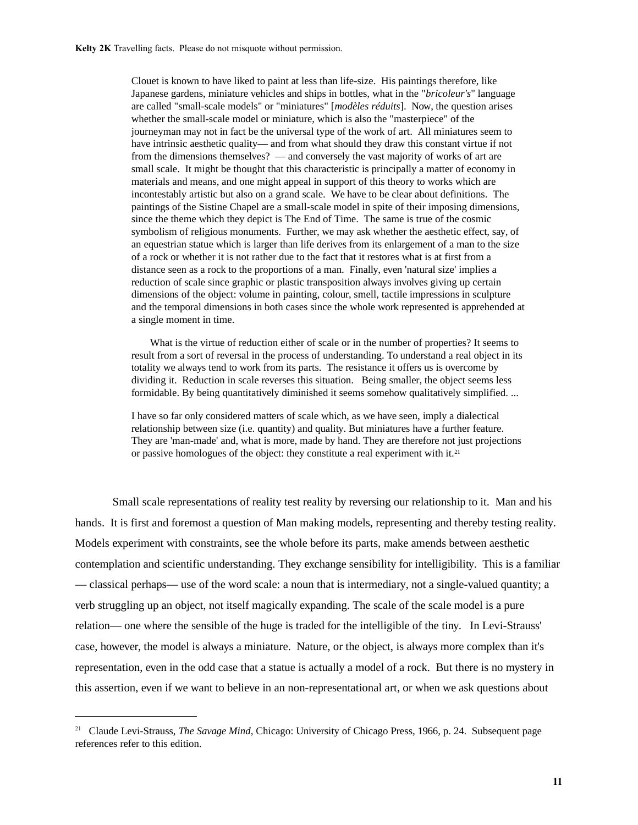Clouet is known to have liked to paint at less than life-size. His paintings therefore, like Japanese gardens, miniature vehicles and ships in bottles, what in the "*bricoleur's*" language are called "small-scale models" or "miniatures" [*modèles réduits*]. Now, the question arises whether the small-scale model or miniature, which is also the "masterpiece" of the journeyman may not in fact be the universal type of the work of art. All miniatures seem to have intrinsic aesthetic quality— and from what should they draw this constant virtue if not from the dimensions themselves? — and conversely the vast majority of works of art are small scale. It might be thought that this characteristic is principally a matter of economy in materials and means, and one might appeal in support of this theory to works which are incontestably artistic but also on a grand scale. We have to be clear about definitions. The paintings of the Sistine Chapel are a small-scale model in spite of their imposing dimensions, since the theme which they depict is The End of Time. The same is true of the cosmic symbolism of religious monuments. Further, we may ask whether the aesthetic effect, say, of an equestrian statue which is larger than life derives from its enlargement of a man to the size of a rock or whether it is not rather due to the fact that it restores what is at first from a distance seen as a rock to the proportions of a man. Finally, even 'natural size' implies a reduction of scale since graphic or plastic transposition always involves giving up certain dimensions of the object: volume in painting, colour, smell, tactile impressions in sculpture and the temporal dimensions in both cases since the whole work represented is apprehended at a single moment in time.

What is the virtue of reduction either of scale or in the number of properties? It seems to result from a sort of reversal in the process of understanding. To understand a real object in its totality we always tend to work from its parts. The resistance it offers us is overcome by dividing it. Reduction in scale reverses this situation. Being smaller, the object seems less formidable. By being quantitatively diminished it seems somehow qualitatively simplified. ...

I have so far only considered matters of scale which, as we have seen, imply a dialectical relationship between size (i.e. quantity) and quality. But miniatures have a further feature. They are 'man-made' and, what is more, made by hand. They are therefore not just projections or passive homologues of the object: they constitute a real experiment with it.<sup>[21](#page-10-0)</sup>

Small scale representations of reality test reality by reversing our relationship to it. Man and his hands. It is first and foremost a question of Man making models, representing and thereby testing reality. Models experiment with constraints, see the whole before its parts, make amends between aesthetic contemplation and scientific understanding. They exchange sensibility for intelligibility. This is a familiar — classical perhaps— use of the word scale: a noun that is intermediary, not a single-valued quantity; a verb struggling up an object, not itself magically expanding. The scale of the scale model is a pure relation— one where the sensible of the huge is traded for the intelligible of the tiny. In Levi-Strauss' case, however, the model is always a miniature. Nature, or the object, is always more complex than it's representation, even in the odd case that a statue is actually a model of a rock. But there is no mystery in this assertion, even if we want to believe in an non-representational art, or when we ask questions about

<span id="page-10-0"></span><sup>&</sup>lt;sup>21</sup> Claude Levi-Strauss, *The Savage Mind*, Chicago: University of Chicago Press, 1966, p. 24. Subsequent page references refer to this edition.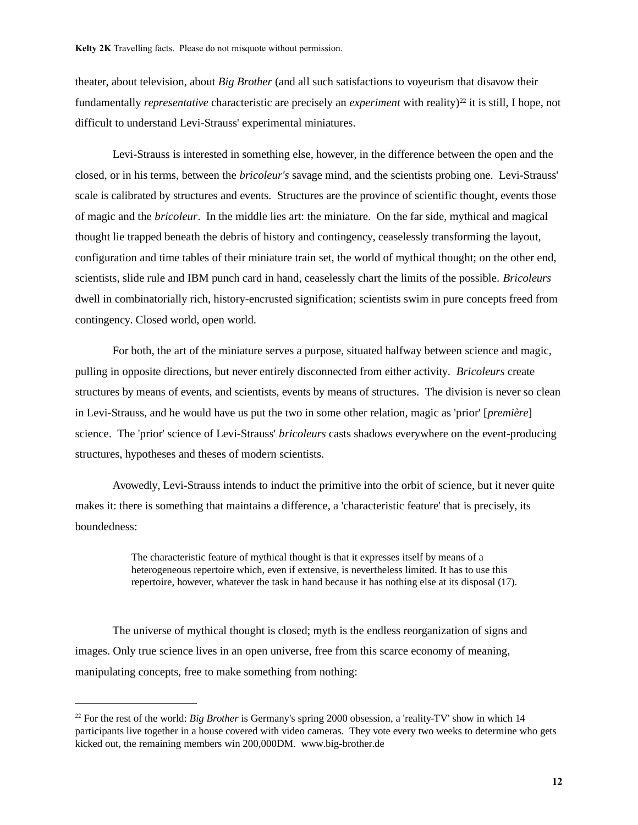theater, about television, about *Big Brother* (and all such satisfactions to voyeurism that disavow their fundamentally *representative* characteristic are precisely an *experiment* with reality)<sup>[22](#page-11-0)</sup> it is still, I hope, not difficult to understand Levi-Strauss' experimental miniatures.

Levi-Strauss is interested in something else, however, in the difference between the open and the closed, or in his terms, between the *bricoleur's* savage mind, and the scientists probing one. Levi-Strauss' scale is calibrated by structures and events. Structures are the province of scientific thought, events those of magic and the *bricoleur*. In the middle lies art: the miniature. On the far side, mythical and magical thought lie trapped beneath the debris of history and contingency, ceaselessly transforming the layout, configuration and time tables of their miniature train set, the world of mythical thought; on the other end, scientists, slide rule and IBM punch card in hand, ceaselessly chart the limits of the possible. *Bricoleurs* dwell in combinatorially rich, history-encrusted signification; scientists swim in pure concepts freed from contingency. Closed world, open world.

For both, the art of the miniature serves a purpose, situated halfway between science and magic, pulling in opposite directions, but never entirely disconnected from either activity. *Bricoleurs* create structures by means of events, and scientists, events by means of structures. The division is never so clean in Levi-Strauss, and he would have us put the two in some other relation, magic as 'prior' [*première*] science. The 'prior' science of Levi-Strauss' *bricoleurs* casts shadows everywhere on the event-producing structures, hypotheses and theses of modern scientists.

Avowedly, Levi-Strauss intends to induct the primitive into the orbit of science, but it never quite makes it: there is something that maintains a difference, a 'characteristic feature' that is precisely, its boundedness:

> The characteristic feature of mythical thought is that it expresses itself by means of a heterogeneous repertoire which, even if extensive, is nevertheless limited. It has to use this repertoire, however, whatever the task in hand because it has nothing else at its disposal (17).

The universe of mythical thought is closed; myth is the endless reorganization of signs and images. Only true science lives in an open universe, free from this scarce economy of meaning, manipulating concepts, free to make something from nothing:

<span id="page-11-0"></span><sup>&</sup>lt;sup>22</sup> For the rest of the world: *Big Brother* is Germany's spring 2000 obsession, a 'reality-TV' show in which 14 participants live together in a house covered with video cameras. They vote every two weeks to determine who gets kicked out, the remaining members win 200,000DM. www.big-brother.de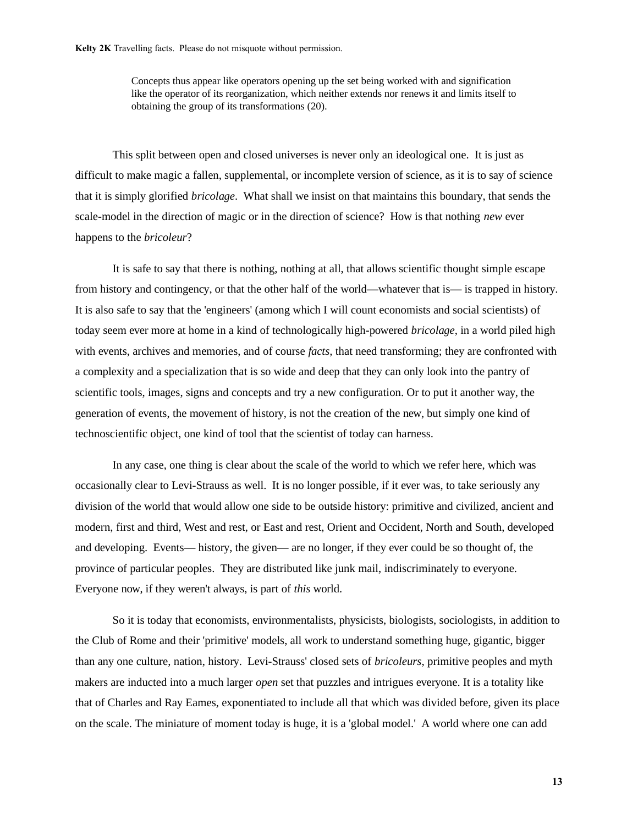Concepts thus appear like operators opening up the set being worked with and signification like the operator of its reorganization, which neither extends nor renews it and limits itself to obtaining the group of its transformations (20).

This split between open and closed universes is never only an ideological one. It is just as difficult to make magic a fallen, supplemental, or incomplete version of science, as it is to say of science that it is simply glorified *bricolage*. What shall we insist on that maintains this boundary, that sends the scale-model in the direction of magic or in the direction of science? How is that nothing *new* ever happens to the *bricoleur*?

It is safe to say that there is nothing, nothing at all, that allows scientific thought simple escape from history and contingency, or that the other half of the world—whatever that is— is trapped in history. It is also safe to say that the 'engineers' (among which I will count economists and social scientists) of today seem ever more at home in a kind of technologically high-powered *bricolage*, in a world piled high with events, archives and memories, and of course *facts,* that need transforming; they are confronted with a complexity and a specialization that is so wide and deep that they can only look into the pantry of scientific tools, images, signs and concepts and try a new configuration. Or to put it another way, the generation of events, the movement of history, is not the creation of the new, but simply one kind of technoscientific object, one kind of tool that the scientist of today can harness.

In any case, one thing is clear about the scale of the world to which we refer here, which was occasionally clear to Levi-Strauss as well. It is no longer possible, if it ever was, to take seriously any division of the world that would allow one side to be outside history: primitive and civilized, ancient and modern, first and third, West and rest, or East and rest, Orient and Occident, North and South, developed and developing. Events— history, the given— are no longer, if they ever could be so thought of, the province of particular peoples. They are distributed like junk mail, indiscriminately to everyone. Everyone now, if they weren't always, is part of *this* world.

So it is today that economists, environmentalists, physicists, biologists, sociologists, in addition to the Club of Rome and their 'primitive' models, all work to understand something huge, gigantic, bigger than any one culture, nation, history. Levi-Strauss' closed sets of *bricoleurs*, primitive peoples and myth makers are inducted into a much larger *open* set that puzzles and intrigues everyone. It is a totality like that of Charles and Ray Eames, exponentiated to include all that which was divided before, given its place on the scale. The miniature of moment today is huge, it is a 'global model.' A world where one can add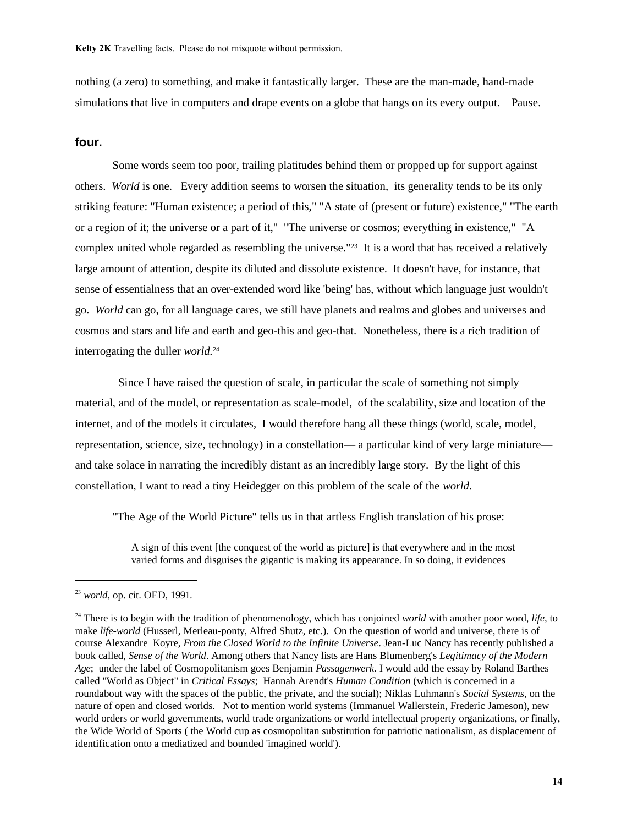nothing (a zero) to something, and make it fantastically larger. These are the man-made, hand-made simulations that live in computers and drape events on a globe that hangs on its every output. Pause.

## **four.**

Some words seem too poor, trailing platitudes behind them or propped up for support against others. *World* is one. Every addition seems to worsen the situation, its generality tends to be its only striking feature: "Human existence; a period of this," "A state of (present or future) existence," "The earth or a region of it; the universe or a part of it," "The universe or cosmos; everything in existence," "A complex united whole regarded as resembling the universe."[23](#page-13-0) It is a word that has received a relatively large amount of attention, despite its diluted and dissolute existence. It doesn't have, for instance, that sense of essentialness that an over-extended word like 'being' has, without which language just wouldn't go. *World* can go, for all language cares, we still have planets and realms and globes and universes and cosmos and stars and life and earth and geo-this and geo-that. Nonetheless, there is a rich tradition of interrogating the duller *world.*[24](#page-13-1)

 Since I have raised the question of scale, in particular the scale of something not simply material, and of the model, or representation as scale-model, of the scalability, size and location of the internet, and of the models it circulates, I would therefore hang all these things (world, scale, model, representation, science, size, technology) in a constellation— a particular kind of very large miniature and take solace in narrating the incredibly distant as an incredibly large story. By the light of this constellation, I want to read a tiny Heidegger on this problem of the scale of the *world*.

"The Age of the World Picture" tells us in that artless English translation of his prose:

A sign of this event [the conquest of the world as picture] is that everywhere and in the most varied forms and disguises the gigantic is making its appearance. In so doing, it evidences

<span id="page-13-0"></span><sup>23</sup> *world*, op. cit. OED, 1991.

<span id="page-13-1"></span><sup>24</sup> There is to begin with the tradition of phenomenology, which has conjoined *world* with another poor word, *life,* to make *life-world* (Husserl, Merleau-ponty, Alfred Shutz, etc.). On the question of world and universe, there is of course Alexandre Koyre, *From the Closed World to the Infinite Universe*. Jean-Luc Nancy has recently published a book called, *Sense of the World*. Among others that Nancy lists are Hans Blumenberg's *Legitimacy of the Modern Age*; under the label of Cosmopolitanism goes Benjamin *Passagenwerk*. I would add the essay by Roland Barthes called "World as Object" in *Critical Essays*; Hannah Arendt's *Human Condition* (which is concerned in a roundabout way with the spaces of the public, the private, and the social); Niklas Luhmann's *Social Systems,* on the nature of open and closed worlds. Not to mention world systems (Immanuel Wallerstein, Frederic Jameson), new world orders or world governments, world trade organizations or world intellectual property organizations, or finally, the Wide World of Sports ( the World cup as cosmopolitan substitution for patriotic nationalism, as displacement of identification onto a mediatized and bounded 'imagined world').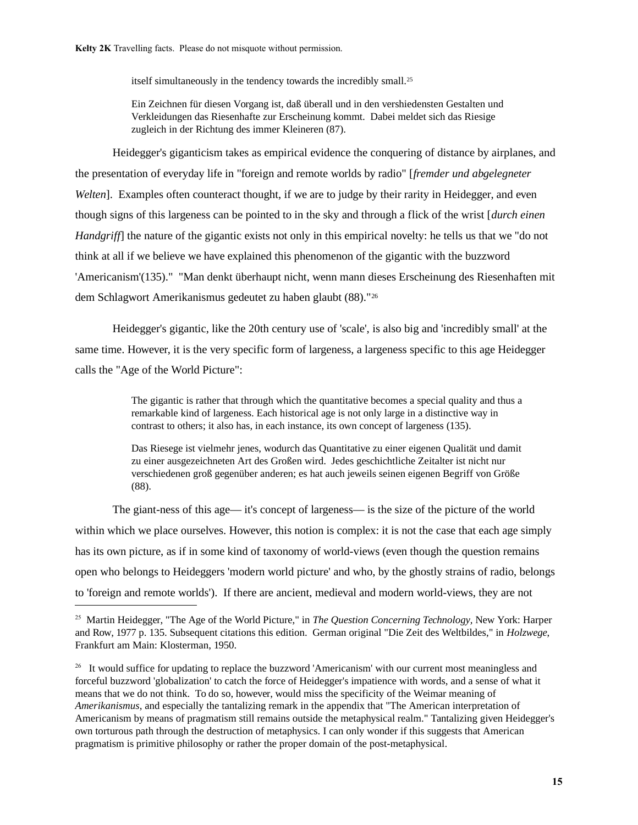itself simultaneously in the tendency towards the incredibly small.[25](#page-14-0)

Ein Zeichnen für diesen Vorgang ist, daß überall und in den vershiedensten Gestalten und Verkleidungen das Riesenhafte zur Erscheinung kommt. Dabei meldet sich das Riesige zugleich in der Richtung des immer Kleineren (87).

Heidegger's giganticism takes as empirical evidence the conquering of distance by airplanes, and the presentation of everyday life in "foreign and remote worlds by radio" [*fremder und abgelegneter Welten*]. Examples often counteract thought, if we are to judge by their rarity in Heidegger, and even though signs of this largeness can be pointed to in the sky and through a flick of the wrist [*durch einen Handgriff*] the nature of the gigantic exists not only in this empirical novelty: he tells us that we "do not think at all if we believe we have explained this phenomenon of the gigantic with the buzzword 'Americanism'(135)." "Man denkt überhaupt nicht, wenn mann dieses Erscheinung des Riesenhaften mit dem Schlagwort Amerikanismus gedeutet zu haben glaubt (88)."[26](#page-14-1)

Heidegger's gigantic, like the 20th century use of 'scale', is also big and 'incredibly small' at the same time. However, it is the very specific form of largeness, a largeness specific to this age Heidegger calls the "Age of the World Picture":

> The gigantic is rather that through which the quantitative becomes a special quality and thus a remarkable kind of largeness. Each historical age is not only large in a distinctive way in contrast to others; it also has, in each instance, its own concept of largeness (135).

> Das Riesege ist vielmehr jenes, wodurch das Quantitative zu einer eigenen Qualität und damit zu einer ausgezeichneten Art des Großen wird. Jedes geschichtliche Zeitalter ist nicht nur verschiedenen groß gegenüber anderen; es hat auch jeweils seinen eigenen Begriff von Größe (88).

The giant-ness of this age— it's concept of largeness— is the size of the picture of the world within which we place ourselves. However, this notion is complex: it is not the case that each age simply has its own picture, as if in some kind of taxonomy of world-views (even though the question remains open who belongs to Heideggers 'modern world picture' and who, by the ghostly strains of radio, belongs to 'foreign and remote worlds'). If there are ancient, medieval and modern world-views, they are not

<span id="page-14-0"></span><sup>25</sup> Martin Heidegger, "The Age of the World Picture," in *The Question Concerning Technology,* New York: Harper and Row, 1977 p. 135. Subsequent citations this edition. German original "Die Zeit des Weltbildes," in *Holzwege*, Frankfurt am Main: Klosterman, 1950.

<span id="page-14-1"></span><sup>&</sup>lt;sup>26</sup> It would suffice for updating to replace the buzzword 'Americanism' with our current most meaningless and forceful buzzword 'globalization' to catch the force of Heidegger's impatience with words, and a sense of what it means that we do not think. To do so, however, would miss the specificity of the Weimar meaning of *Amerikanismus*, and especially the tantalizing remark in the appendix that "The American interpretation of Americanism by means of pragmatism still remains outside the metaphysical realm." Tantalizing given Heidegger's own torturous path through the destruction of metaphysics. I can only wonder if this suggests that American pragmatism is primitive philosophy or rather the proper domain of the post-metaphysical.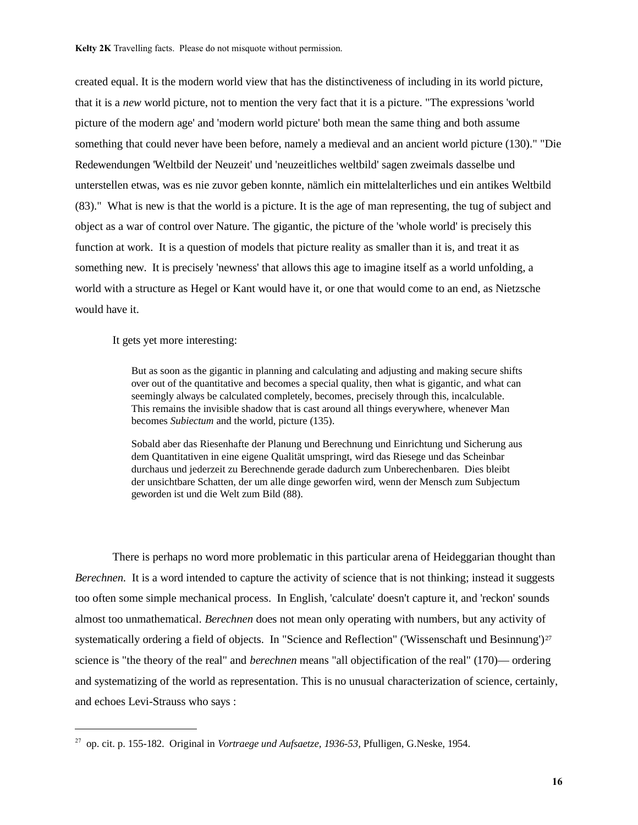created equal. It is the modern world view that has the distinctiveness of including in its world picture, that it is a *new* world picture, not to mention the very fact that it is a picture. "The expressions 'world picture of the modern age' and 'modern world picture' both mean the same thing and both assume something that could never have been before, namely a medieval and an ancient world picture (130)." "Die Redewendungen 'Weltbild der Neuzeit' und 'neuzeitliches weltbild' sagen zweimals dasselbe und unterstellen etwas, was es nie zuvor geben konnte, nämlich ein mittelalterliches und ein antikes Weltbild (83)." What is new is that the world is a picture. It is the age of man representing, the tug of subject and object as a war of control over Nature. The gigantic, the picture of the 'whole world' is precisely this function at work. It is a question of models that picture reality as smaller than it is, and treat it as something new. It is precisely 'newness' that allows this age to imagine itself as a world unfolding, a world with a structure as Hegel or Kant would have it, or one that would come to an end, as Nietzsche would have it.

It gets yet more interesting:

But as soon as the gigantic in planning and calculating and adjusting and making secure shifts over out of the quantitative and becomes a special quality, then what is gigantic, and what can seemingly always be calculated completely, becomes, precisely through this, incalculable. This remains the invisible shadow that is cast around all things everywhere, whenever Man becomes *Subiectum* and the world, picture (135).

Sobald aber das Riesenhafte der Planung und Berechnung und Einrichtung und Sicherung aus dem Quantitativen in eine eigene Qualität umspringt, wird das Riesege und das Scheinbar durchaus und jederzeit zu Berechnende gerade dadurch zum Unberechenbaren. Dies bleibt der unsichtbare Schatten, der um alle dinge geworfen wird, wenn der Mensch zum Subjectum geworden ist und die Welt zum Bild (88).

There is perhaps no word more problematic in this particular arena of Heideggarian thought than *Berechnen.* It is a word intended to capture the activity of science that is not thinking; instead it suggests too often some simple mechanical process. In English, 'calculate' doesn't capture it, and 'reckon' sounds almost too unmathematical. *Berechnen* does not mean only operating with numbers, but any activity of systematically ordering a field of objects. In "Science and Reflection" ('Wissenschaft und Besinnung')<sup>[27](#page-15-0)</sup> science is "the theory of the real" and *berechnen* means "all objectification of the real" (170)— ordering and systematizing of the world as representation. This is no unusual characterization of science, certainly, and echoes Levi-Strauss who says :

<span id="page-15-0"></span><sup>27</sup> op. cit. p. 155-182. Original in *Vortraege und Aufsaetze, 1936-53,* Pfulligen, G.Neske, 1954.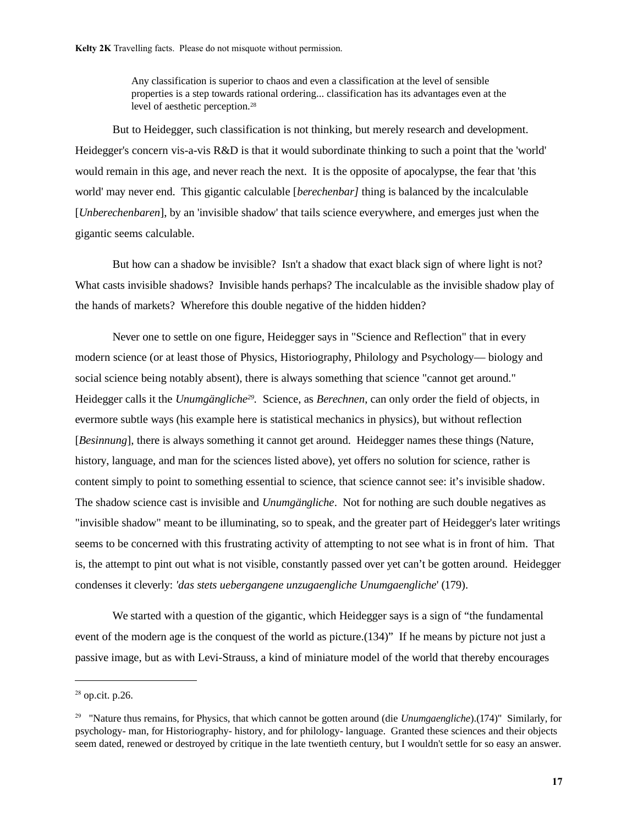Any classification is superior to chaos and even a classification at the level of sensible properties is a step towards rational ordering... classification has its advantages even at the level of aesthetic perception.[28](#page-16-0)

But to Heidegger, such classification is not thinking, but merely research and development. Heidegger's concern vis-a-vis R&D is that it would subordinate thinking to such a point that the 'world' would remain in this age, and never reach the next. It is the opposite of apocalypse, the fear that 'this world' may never end. This gigantic calculable [*berechenbar]* thing is balanced by the incalculable [*Unberechenbaren*], by an 'invisible shadow' that tails science everywhere, and emerges just when the gigantic seems calculable.

But how can a shadow be invisible? Isn't a shadow that exact black sign of where light is not? What casts invisible shadows? Invisible hands perhaps? The incalculable as the invisible shadow play of the hands of markets? Wherefore this double negative of the hidden hidden?

Never one to settle on one figure, Heidegger says in "Science and Reflection" that in every modern science (or at least those of Physics, Historiography, Philology and Psychology— biology and social science being notably absent), there is always something that science "cannot get around." Heidegger calls it the *Unumgängliche[29](#page-16-1) .* Science, as *Berechnen*, can only order the field of objects, in evermore subtle ways (his example here is statistical mechanics in physics), but without reflection [*Besinnung*], there is always something it cannot get around. Heidegger names these things (Nature, history, language, and man for the sciences listed above), yet offers no solution for science, rather is content simply to point to something essential to science, that science cannot see: it's invisible shadow. The shadow science cast is invisible and *Unumgängliche*. Not for nothing are such double negatives as "invisible shadow" meant to be illuminating, so to speak, and the greater part of Heidegger's later writings seems to be concerned with this frustrating activity of attempting to not see what is in front of him. That is, the attempt to pint out what is not visible, constantly passed over yet can't be gotten around. Heidegger condenses it cleverly: *'das stets uebergangene unzugaengliche Unumgaengliche*' (179).

We started with a question of the gigantic, which Heidegger says is a sign of "the fundamental" event of the modern age is the conquest of the world as picture.(134)" If he means by picture not just a passive image, but as with Levi-Strauss, a kind of miniature model of the world that thereby encourages

<span id="page-16-0"></span> $28$  op.cit. p.26.

<span id="page-16-1"></span><sup>29</sup> "Nature thus remains, for Physics, that which cannot be gotten around (die *Unumgaengliche*).(174)" Similarly, for psychology- man, for Historiography- history, and for philology- language. Granted these sciences and their objects seem dated, renewed or destroyed by critique in the late twentieth century, but I wouldn't settle for so easy an answer.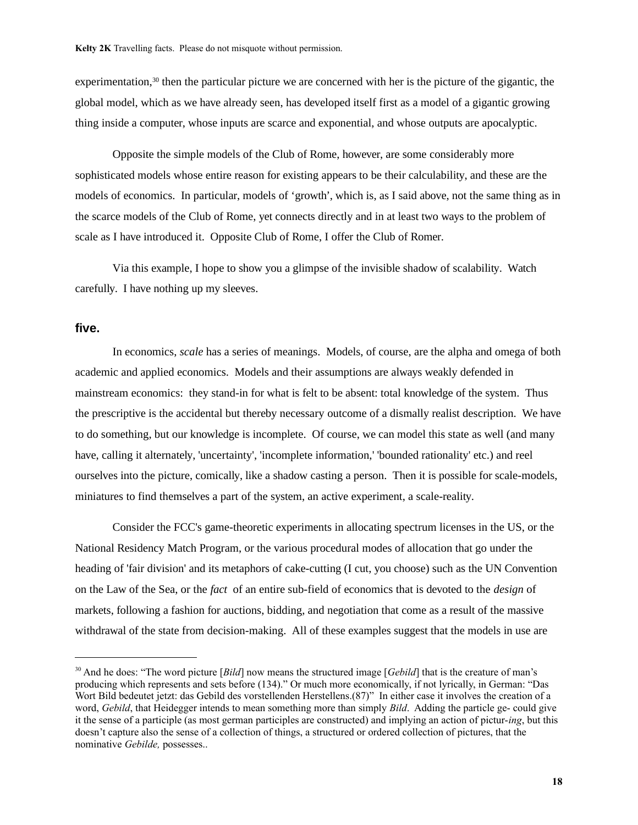experimentation,[30](#page-17-0) then the particular picture we are concerned with her is the picture of the gigantic, the global model, which as we have already seen, has developed itself first as a model of a gigantic growing thing inside a computer, whose inputs are scarce and exponential, and whose outputs are apocalyptic.

Opposite the simple models of the Club of Rome, however, are some considerably more sophisticated models whose entire reason for existing appears to be their calculability, and these are the models of economics. In particular, models of 'growth', which is, as I said above, not the same thing as in the scarce models of the Club of Rome, yet connects directly and in at least two ways to the problem of scale as I have introduced it. Opposite Club of Rome, I offer the Club of Romer.

Via this example, I hope to show you a glimpse of the invisible shadow of scalability. Watch carefully. I have nothing up my sleeves.

## **five.**

In economics, *scale* has a series of meanings. Models, of course, are the alpha and omega of both academic and applied economics. Models and their assumptions are always weakly defended in mainstream economics: they stand-in for what is felt to be absent: total knowledge of the system. Thus the prescriptive is the accidental but thereby necessary outcome of a dismally realist description. We have to do something, but our knowledge is incomplete. Of course, we can model this state as well (and many have, calling it alternately, 'uncertainty', 'incomplete information,' 'bounded rationality' etc.) and reel ourselves into the picture, comically, like a shadow casting a person. Then it is possible for scale-models, miniatures to find themselves a part of the system, an active experiment, a scale-reality.

Consider the FCC's game-theoretic experiments in allocating spectrum licenses in the US, or the National Residency Match Program, or the various procedural modes of allocation that go under the heading of 'fair division' and its metaphors of cake-cutting (I cut, you choose) such as the UN Convention on the Law of the Sea, or the *fact* of an entire sub-field of economics that is devoted to the *design* of markets, following a fashion for auctions, bidding, and negotiation that come as a result of the massive withdrawal of the state from decision-making. All of these examples suggest that the models in use are

<span id="page-17-0"></span><sup>30</sup> And he does: "The word picture [*Bild*] now means the structured image [*Gebild*] that is the creature of man's producing which represents and sets before (134)." Or much more economically, if not lyrically, in German: "Das Wort Bild bedeutet jetzt: das Gebild des vorstellenden Herstellens.(87)" In either case it involves the creation of a word, *Gebild*, that Heidegger intends to mean something more than simply *Bild*. Adding the particle ge- could give it the sense of a participle (as most german participles are constructed) and implying an action of pictur-*ing*, but this doesn't capture also the sense of a collection of things, a structured or ordered collection of pictures, that the nominative *Gebilde,* possesses..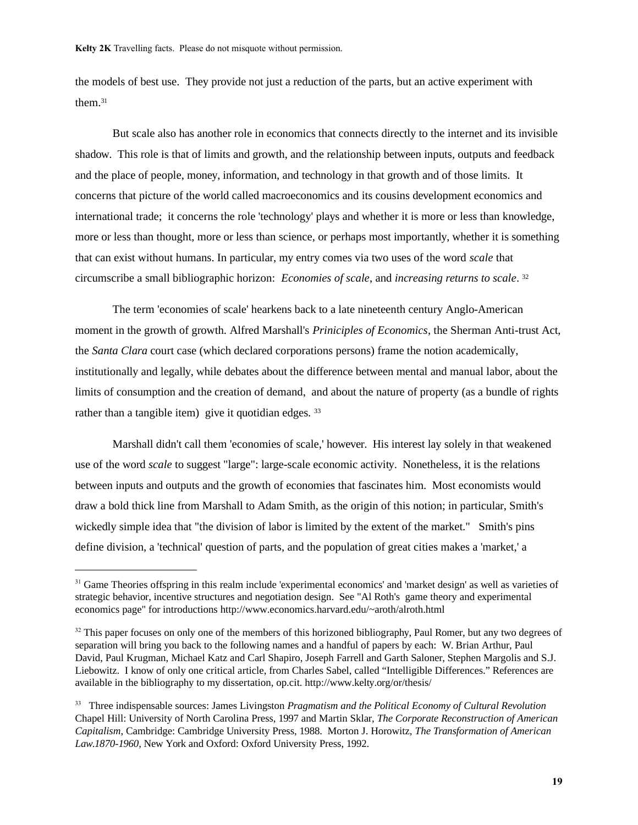the models of best use. They provide not just a reduction of the parts, but an active experiment with them.[31](#page-18-0)

But scale also has another role in economics that connects directly to the internet and its invisible shadow. This role is that of limits and growth, and the relationship between inputs, outputs and feedback and the place of people, money, information, and technology in that growth and of those limits. It concerns that picture of the world called macroeconomics and its cousins development economics and international trade; it concerns the role 'technology' plays and whether it is more or less than knowledge, more or less than thought, more or less than science, or perhaps most importantly, whether it is something that can exist without humans. In particular, my entry comes via two uses of the word *scale* that circumscribe a small bibliographic horizon: *Economies of scale*, and *increasing returns to scale*. [32](#page-18-1)

The term 'economies of scale' hearkens back to a late nineteenth century Anglo-American moment in the growth of growth. Alfred Marshall's *Priniciples of Economics*, the Sherman Anti-trust Act, the *Santa Clara* court case (which declared corporations persons) frame the notion academically, institutionally and legally, while debates about the difference between mental and manual labor, about the limits of consumption and the creation of demand, and about the nature of property (as a bundle of rights rather than a tangible item) give it quotidian edges. [33](#page-18-2)

Marshall didn't call them 'economies of scale,' however. His interest lay solely in that weakened use of the word *scale* to suggest "large": large-scale economic activity. Nonetheless, it is the relations between inputs and outputs and the growth of economies that fascinates him. Most economists would draw a bold thick line from Marshall to Adam Smith, as the origin of this notion; in particular, Smith's wickedly simple idea that "the division of labor is limited by the extent of the market." Smith's pins define division, a 'technical' question of parts, and the population of great cities makes a 'market,' a

<span id="page-18-0"></span><sup>&</sup>lt;sup>31</sup> Game Theories offspring in this realm include 'experimental economics' and 'market design' as well as varieties of strategic behavior, incentive structures and negotiation design. See "Al Roth's game theory and experimental economics page" for introductions http://www.economics.harvard.edu/~aroth/alroth.html

<span id="page-18-1"></span> $32$  This paper focuses on only one of the members of this horizoned bibliography. Paul Romer, but any two degrees of separation will bring you back to the following names and a handful of papers by each: W. Brian Arthur, Paul David, Paul Krugman, Michael Katz and Carl Shapiro, Joseph Farrell and Garth Saloner, Stephen Margolis and S.J. Liebowitz. I know of only one critical article, from Charles Sabel, called "Intelligible Differences." References are available in the bibliography to my dissertation, op.cit. http://www.kelty.org/or/thesis/

<span id="page-18-2"></span><sup>33</sup> Three indispensable sources: James Livingston *Pragmatism and the Political Economy of Cultural Revolution* Chapel Hill: University of North Carolina Press, 1997 and Martin Sklar, *The Corporate Reconstruction of American Capitalism*, Cambridge: Cambridge University Press, 1988. Morton J. Horowitz, *The Transformation of American Law.1870-1960,* New York and Oxford: Oxford University Press, 1992.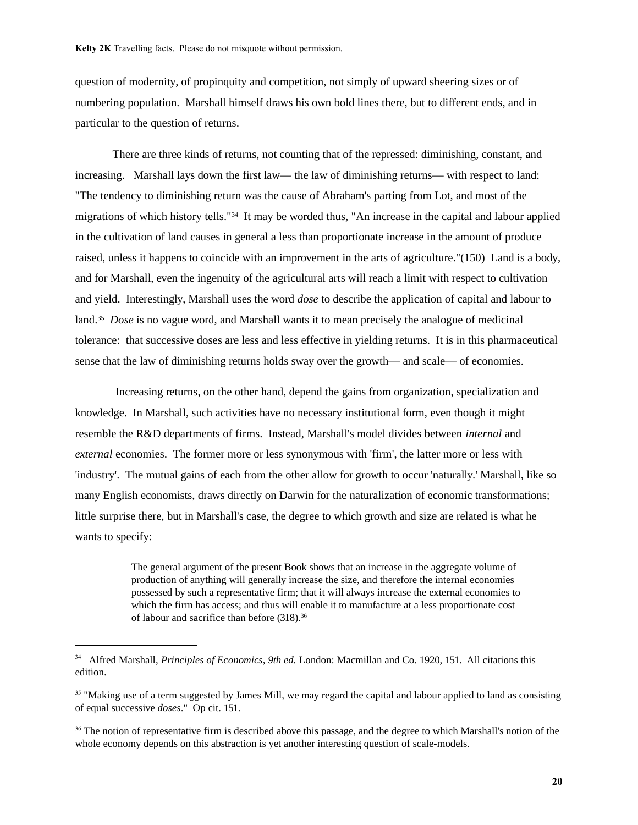question of modernity, of propinquity and competition, not simply of upward sheering sizes or of numbering population. Marshall himself draws his own bold lines there, but to different ends, and in particular to the question of returns.

There are three kinds of returns, not counting that of the repressed: diminishing, constant, and increasing. Marshall lays down the first law— the law of diminishing returns— with respect to land: "The tendency to diminishing return was the cause of Abraham's parting from Lot, and most of the migrations of which history tells."[34](#page-19-0) It may be worded thus, "An increase in the capital and labour applied in the cultivation of land causes in general a less than proportionate increase in the amount of produce raised, unless it happens to coincide with an improvement in the arts of agriculture."(150) Land is a body, and for Marshall, even the ingenuity of the agricultural arts will reach a limit with respect to cultivation and yield. Interestingly, Marshall uses the word *dose* to describe the application of capital and labour to land.[35](#page-19-1) *Dose* is no vague word, and Marshall wants it to mean precisely the analogue of medicinal tolerance: that successive doses are less and less effective in yielding returns. It is in this pharmaceutical sense that the law of diminishing returns holds sway over the growth— and scale— of economies.

 Increasing returns, on the other hand, depend the gains from organization, specialization and knowledge. In Marshall, such activities have no necessary institutional form, even though it might resemble the R&D departments of firms. Instead, Marshall's model divides between *internal* and *external* economies. The former more or less synonymous with 'firm', the latter more or less with 'industry'. The mutual gains of each from the other allow for growth to occur 'naturally.' Marshall, like so many English economists, draws directly on Darwin for the naturalization of economic transformations; little surprise there, but in Marshall's case, the degree to which growth and size are related is what he wants to specify:

> The general argument of the present Book shows that an increase in the aggregate volume of production of anything will generally increase the size, and therefore the internal economies possessed by such a representative firm; that it will always increase the external economies to which the firm has access; and thus will enable it to manufacture at a less proportionate cost of labour and sacrifice than before (318).[36](#page-19-2)

<span id="page-19-0"></span><sup>34</sup> Alfred Marshall, *Principles of Economics, 9th ed.* London: Macmillan and Co. 1920, 151. All citations this edition.

<span id="page-19-1"></span><sup>&</sup>lt;sup>35</sup> "Making use of a term suggested by James Mill, we may regard the capital and labour applied to land as consisting of equal successive *doses*." Op cit. 151.

<span id="page-19-2"></span><sup>&</sup>lt;sup>36</sup> The notion of representative firm is described above this passage, and the degree to which Marshall's notion of the whole economy depends on this abstraction is yet another interesting question of scale-models.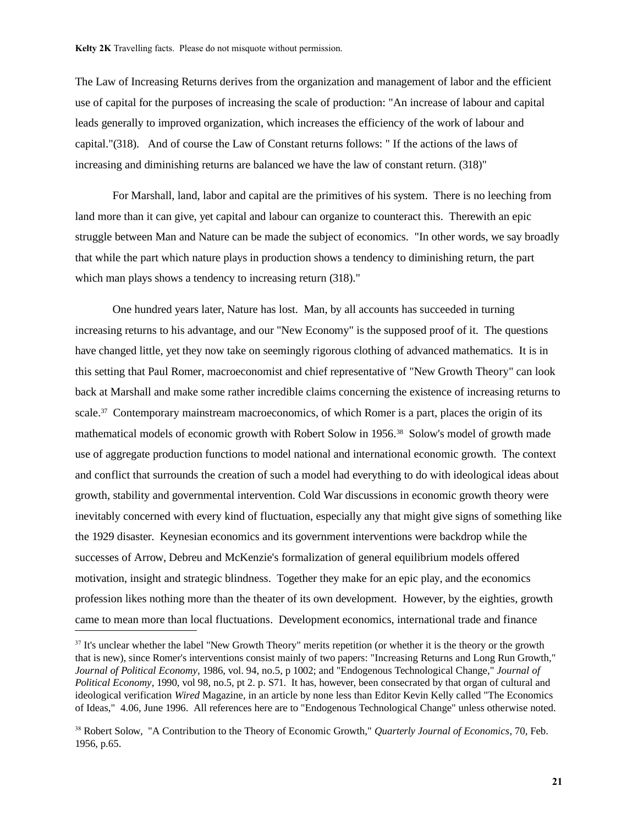The Law of Increasing Returns derives from the organization and management of labor and the efficient use of capital for the purposes of increasing the scale of production: "An increase of labour and capital leads generally to improved organization, which increases the efficiency of the work of labour and capital."(318). And of course the Law of Constant returns follows: " If the actions of the laws of increasing and diminishing returns are balanced we have the law of constant return. (318)"

For Marshall, land, labor and capital are the primitives of his system. There is no leeching from land more than it can give, yet capital and labour can organize to counteract this. Therewith an epic struggle between Man and Nature can be made the subject of economics. "In other words, we say broadly that while the part which nature plays in production shows a tendency to diminishing return, the part which man plays shows a tendency to increasing return  $(318)$ ."

One hundred years later, Nature has lost. Man, by all accounts has succeeded in turning increasing returns to his advantage, and our "New Economy" is the supposed proof of it. The questions have changed little, yet they now take on seemingly rigorous clothing of advanced mathematics. It is in this setting that Paul Romer, macroeconomist and chief representative of "New Growth Theory" can look back at Marshall and make some rather incredible claims concerning the existence of increasing returns to scale.<sup>[37](#page-20-0)</sup> Contemporary mainstream macroeconomics, of which Romer is a part, places the origin of its mathematical models of economic growth with Robert Solow in 1956.[38](#page-20-1) Solow's model of growth made use of aggregate production functions to model national and international economic growth. The context and conflict that surrounds the creation of such a model had everything to do with ideological ideas about growth, stability and governmental intervention. Cold War discussions in economic growth theory were inevitably concerned with every kind of fluctuation, especially any that might give signs of something like the 1929 disaster. Keynesian economics and its government interventions were backdrop while the successes of Arrow, Debreu and McKenzie's formalization of general equilibrium models offered motivation, insight and strategic blindness. Together they make for an epic play, and the economics profession likes nothing more than the theater of its own development. However, by the eighties, growth came to mean more than local fluctuations. Development economics, international trade and finance

<span id="page-20-0"></span><sup>&</sup>lt;sup>37</sup> It's unclear whether the label "New Growth Theory" merits repetition (or whether it is the theory or the growth that is new), since Romer's interventions consist mainly of two papers: "Increasing Returns and Long Run Growth," *Journal of Political Economy*, 1986, vol. 94, no.5, p 1002; and "Endogenous Technological Change," *Journal of Political Economy*, 1990, vol 98, no.5, pt 2. p. S71. It has, however, been consecrated by that organ of cultural and ideological verification *Wired* Magazine, in an article by none less than Editor Kevin Kelly called "The Economics of Ideas," 4.06, June 1996. All references here are to "Endogenous Technological Change" unless otherwise noted.

<span id="page-20-1"></span><sup>38</sup> Robert Solow, "A Contribution to the Theory of Economic Growth," *Quarterly Journal of Economics*, 70, Feb. 1956, p.65.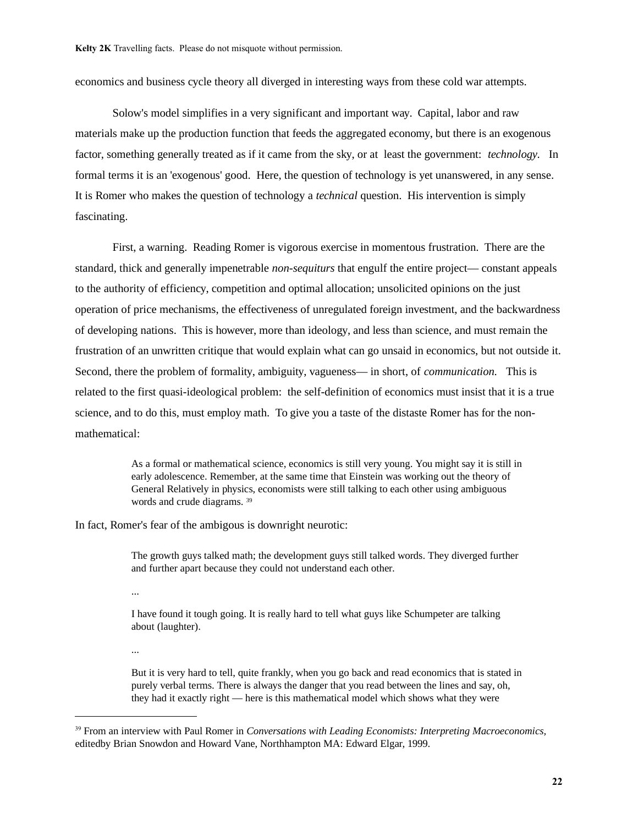economics and business cycle theory all diverged in interesting ways from these cold war attempts.

Solow's model simplifies in a very significant and important way. Capital, labor and raw materials make up the production function that feeds the aggregated economy, but there is an exogenous factor, something generally treated as if it came from the sky, or at least the government: *technology.* In formal terms it is an 'exogenous' good. Here, the question of technology is yet unanswered, in any sense. It is Romer who makes the question of technology a *technical* question. His intervention is simply fascinating.

First, a warning. Reading Romer is vigorous exercise in momentous frustration. There are the standard, thick and generally impenetrable *non-sequiturs* that engulf the entire project— constant appeals to the authority of efficiency, competition and optimal allocation; unsolicited opinions on the just operation of price mechanisms, the effectiveness of unregulated foreign investment, and the backwardness of developing nations. This is however, more than ideology, and less than science, and must remain the frustration of an unwritten critique that would explain what can go unsaid in economics, but not outside it. Second, there the problem of formality, ambiguity, vagueness— in short, of *communication.* This is related to the first quasi-ideological problem: the self-definition of economics must insist that it is a true science, and to do this, must employ math. To give you a taste of the distaste Romer has for the nonmathematical:

> As a formal or mathematical science, economics is still very young. You might say it is still in early adolescence. Remember, at the same time that Einstein was working out the theory of General Relatively in physics, economists were still talking to each other using ambiguous words and crude diagrams. [39](#page-21-0)

In fact, Romer's fear of the ambigous is downright neurotic:

The growth guys talked math; the development guys still talked words. They diverged further and further apart because they could not understand each other.

...

I have found it tough going. It is really hard to tell what guys like Schumpeter are talking about (laughter).

...

But it is very hard to tell, quite frankly, when you go back and read economics that is stated in purely verbal terms. There is always the danger that you read between the lines and say, oh, they had it exactly right — here is this mathematical model which shows what they were

<span id="page-21-0"></span><sup>39</sup> From an interview with Paul Romer in *Conversations with Leading Economists: Interpreting Macroeconomics,* editedby Brian Snowdon and Howard Vane, Northhampton MA: Edward Elgar, 1999.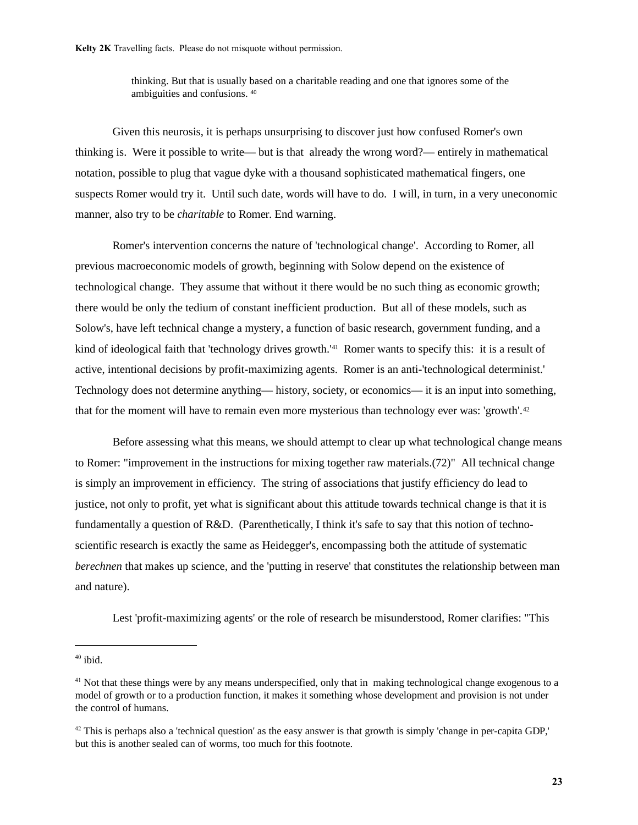thinking. But that is usually based on a charitable reading and one that ignores some of the ambiguities and confusions. [40](#page-22-0)

Given this neurosis, it is perhaps unsurprising to discover just how confused Romer's own thinking is. Were it possible to write— but is that already the wrong word?— entirely in mathematical notation, possible to plug that vague dyke with a thousand sophisticated mathematical fingers, one suspects Romer would try it. Until such date, words will have to do. I will, in turn, in a very uneconomic manner, also try to be *charitable* to Romer. End warning.

Romer's intervention concerns the nature of 'technological change'. According to Romer, all previous macroeconomic models of growth, beginning with Solow depend on the existence of technological change. They assume that without it there would be no such thing as economic growth; there would be only the tedium of constant inefficient production. But all of these models, such as Solow's, have left technical change a mystery, a function of basic research, government funding, and a kind of ideological faith that 'technology drives growth.'<sup>[41](#page-22-1)</sup> Romer wants to specify this: it is a result of active, intentional decisions by profit-maximizing agents. Romer is an anti-'technological determinist.' Technology does not determine anything— history, society, or economics— it is an input into something, that for the moment will have to remain even more mysterious than technology ever was: 'growth'.<sup>[42](#page-22-2)</sup>

Before assessing what this means, we should attempt to clear up what technological change means to Romer: "improvement in the instructions for mixing together raw materials.(72)" All technical change is simply an improvement in efficiency. The string of associations that justify efficiency do lead to justice, not only to profit, yet what is significant about this attitude towards technical change is that it is fundamentally a question of R&D. (Parenthetically, I think it's safe to say that this notion of technoscientific research is exactly the same as Heidegger's, encompassing both the attitude of systematic *berechnen* that makes up science, and the 'putting in reserve' that constitutes the relationship between man and nature).

Lest 'profit-maximizing agents' or the role of research be misunderstood, Romer clarifies: "This

<span id="page-22-0"></span> $40$  ibid.

<span id="page-22-1"></span><sup>&</sup>lt;sup>41</sup> Not that these things were by any means underspecified, only that in making technological change exogenous to a model of growth or to a production function, it makes it something whose development and provision is not under the control of humans.

<span id="page-22-2"></span> $42$  This is perhaps also a 'technical question' as the easy answer is that growth is simply 'change in per-capita GDP,' but this is another sealed can of worms, too much for this footnote.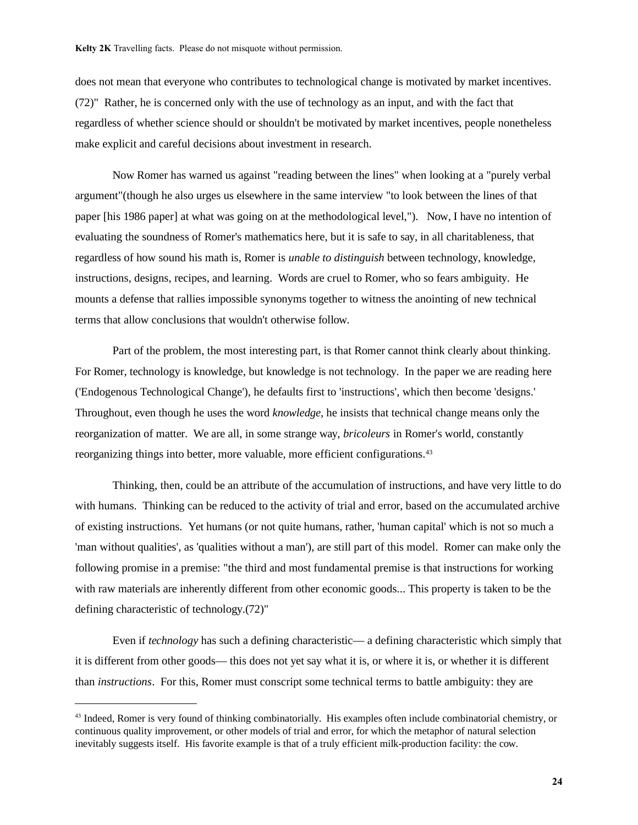does not mean that everyone who contributes to technological change is motivated by market incentives. (72)" Rather, he is concerned only with the use of technology as an input, and with the fact that regardless of whether science should or shouldn't be motivated by market incentives, people nonetheless make explicit and careful decisions about investment in research.

Now Romer has warned us against "reading between the lines" when looking at a "purely verbal argument"(though he also urges us elsewhere in the same interview "to look between the lines of that paper [his 1986 paper] at what was going on at the methodological level,"). Now, I have no intention of evaluating the soundness of Romer's mathematics here, but it is safe to say, in all charitableness, that regardless of how sound his math is, Romer is *unable to distinguish* between technology, knowledge, instructions, designs, recipes, and learning. Words are cruel to Romer, who so fears ambiguity. He mounts a defense that rallies impossible synonyms together to witness the anointing of new technical terms that allow conclusions that wouldn't otherwise follow.

Part of the problem, the most interesting part, is that Romer cannot think clearly about thinking. For Romer, technology is knowledge, but knowledge is not technology. In the paper we are reading here ('Endogenous Technological Change'), he defaults first to 'instructions', which then become 'designs.' Throughout, even though he uses the word *knowledge,* he insists that technical change means only the reorganization of matter. We are all, in some strange way, *bricoleurs* in Romer's world, constantly reorganizing things into better, more valuable, more efficient configurations.[43](#page-23-0)

Thinking, then, could be an attribute of the accumulation of instructions, and have very little to do with humans. Thinking can be reduced to the activity of trial and error, based on the accumulated archive of existing instructions. Yet humans (or not quite humans, rather, 'human capital' which is not so much a 'man without qualities', as 'qualities without a man'), are still part of this model. Romer can make only the following promise in a premise: "the third and most fundamental premise is that instructions for working with raw materials are inherently different from other economic goods... This property is taken to be the defining characteristic of technology.(72)"

Even if *technology* has such a defining characteristic— a defining characteristic which simply that it is different from other goods— this does not yet say what it is, or where it is, or whether it is different than *instructions*. For this, Romer must conscript some technical terms to battle ambiguity: they are

<span id="page-23-0"></span><sup>&</sup>lt;sup>43</sup> Indeed, Romer is very found of thinking combinatorially. His examples often include combinatorial chemistry, or continuous quality improvement, or other models of trial and error, for which the metaphor of natural selection inevitably suggests itself. His favorite example is that of a truly efficient milk-production facility: the cow.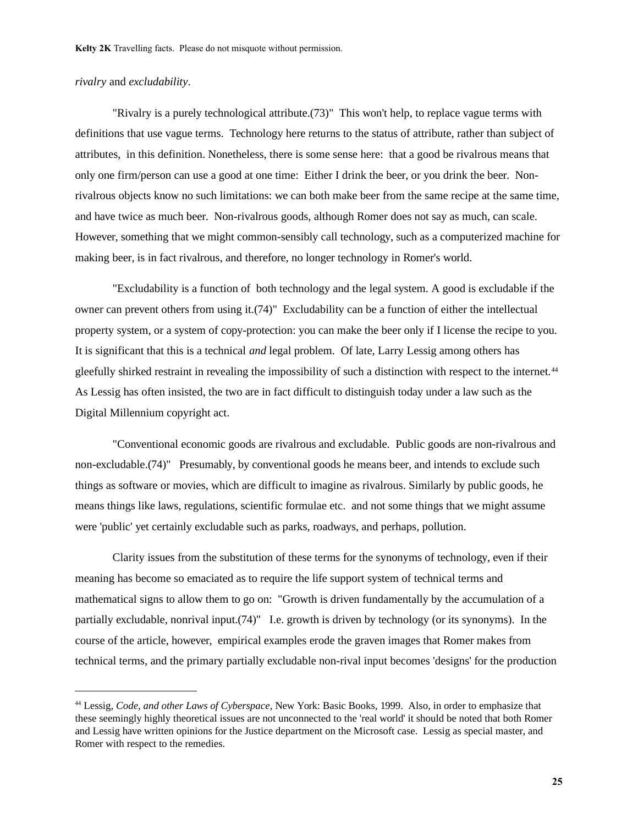#### *rivalry* and *excludability*.

"Rivalry is a purely technological attribute.(73)" This won't help, to replace vague terms with definitions that use vague terms. Technology here returns to the status of attribute, rather than subject of attributes, in this definition. Nonetheless, there is some sense here: that a good be rivalrous means that only one firm/person can use a good at one time: Either I drink the beer, or you drink the beer. Nonrivalrous objects know no such limitations: we can both make beer from the same recipe at the same time, and have twice as much beer. Non-rivalrous goods, although Romer does not say as much, can scale. However, something that we might common-sensibly call technology, such as a computerized machine for making beer, is in fact rivalrous, and therefore, no longer technology in Romer's world.

"Excludability is a function of both technology and the legal system. A good is excludable if the owner can prevent others from using it.(74)" Excludability can be a function of either the intellectual property system, or a system of copy-protection: you can make the beer only if I license the recipe to you. It is significant that this is a technical *and* legal problem. Of late, Larry Lessig among others has gleefully shirked restraint in revealing the impossibility of such a distinction with respect to the internet.[44](#page-24-0) As Lessig has often insisted, the two are in fact difficult to distinguish today under a law such as the Digital Millennium copyright act.

"Conventional economic goods are rivalrous and excludable. Public goods are non-rivalrous and non-excludable.(74)" Presumably, by conventional goods he means beer, and intends to exclude such things as software or movies, which are difficult to imagine as rivalrous. Similarly by public goods, he means things like laws, regulations, scientific formulae etc. and not some things that we might assume were 'public' yet certainly excludable such as parks, roadways, and perhaps, pollution.

Clarity issues from the substitution of these terms for the synonyms of technology, even if their meaning has become so emaciated as to require the life support system of technical terms and mathematical signs to allow them to go on: "Growth is driven fundamentally by the accumulation of a partially excludable, nonrival input.(74)" I.e. growth is driven by technology (or its synonyms). In the course of the article, however, empirical examples erode the graven images that Romer makes from technical terms, and the primary partially excludable non-rival input becomes 'designs' for the production

<span id="page-24-0"></span><sup>44</sup> Lessig, *Code, and other Laws of Cyberspace*, New York: Basic Books, 1999. Also, in order to emphasize that these seemingly highly theoretical issues are not unconnected to the 'real world' it should be noted that both Romer and Lessig have written opinions for the Justice department on the Microsoft case. Lessig as special master, and Romer with respect to the remedies.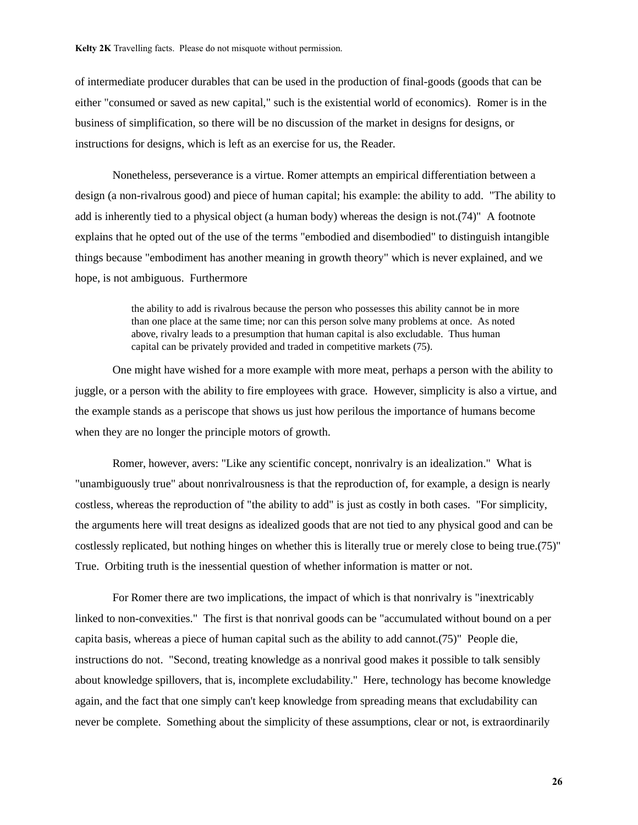of intermediate producer durables that can be used in the production of final-goods (goods that can be either "consumed or saved as new capital," such is the existential world of economics). Romer is in the business of simplification, so there will be no discussion of the market in designs for designs, or instructions for designs, which is left as an exercise for us, the Reader.

Nonetheless, perseverance is a virtue. Romer attempts an empirical differentiation between a design (a non-rivalrous good) and piece of human capital; his example: the ability to add. "The ability to add is inherently tied to a physical object (a human body) whereas the design is not.(74)" A footnote explains that he opted out of the use of the terms "embodied and disembodied" to distinguish intangible things because "embodiment has another meaning in growth theory" which is never explained, and we hope, is not ambiguous. Furthermore

> the ability to add is rivalrous because the person who possesses this ability cannot be in more than one place at the same time; nor can this person solve many problems at once. As noted above, rivalry leads to a presumption that human capital is also excludable. Thus human capital can be privately provided and traded in competitive markets (75).

One might have wished for a more example with more meat, perhaps a person with the ability to juggle, or a person with the ability to fire employees with grace. However, simplicity is also a virtue, and the example stands as a periscope that shows us just how perilous the importance of humans become when they are no longer the principle motors of growth.

Romer, however, avers: "Like any scientific concept, nonrivalry is an idealization." What is "unambiguously true" about nonrivalrousness is that the reproduction of, for example, a design is nearly costless, whereas the reproduction of "the ability to add" is just as costly in both cases. "For simplicity, the arguments here will treat designs as idealized goods that are not tied to any physical good and can be costlessly replicated, but nothing hinges on whether this is literally true or merely close to being true.(75)" True. Orbiting truth is the inessential question of whether information is matter or not.

For Romer there are two implications, the impact of which is that nonrivalry is "inextricably linked to non-convexities." The first is that nonrival goods can be "accumulated without bound on a per capita basis, whereas a piece of human capital such as the ability to add cannot.(75)" People die, instructions do not. "Second, treating knowledge as a nonrival good makes it possible to talk sensibly about knowledge spillovers, that is, incomplete excludability." Here, technology has become knowledge again, and the fact that one simply can't keep knowledge from spreading means that excludability can never be complete. Something about the simplicity of these assumptions, clear or not, is extraordinarily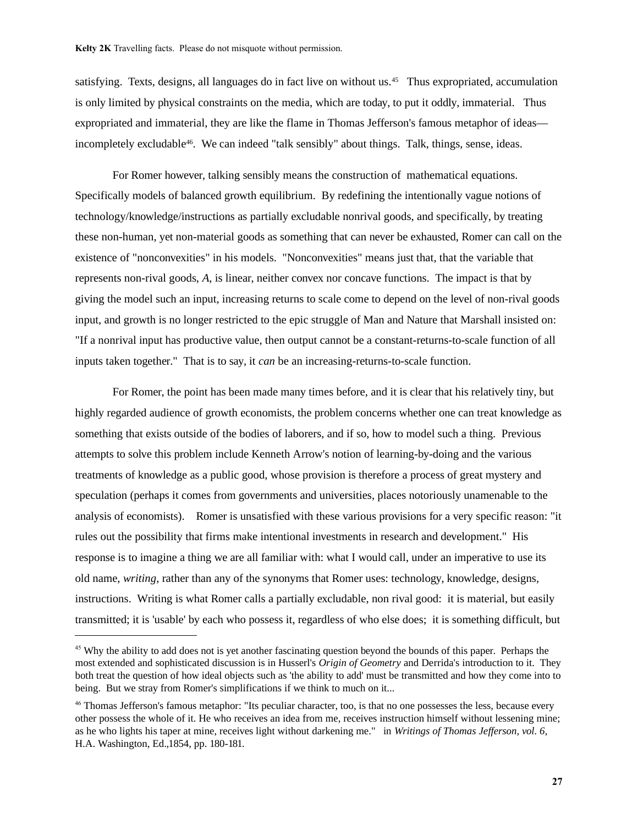satisfying. Texts, designs, all languages do in fact live on without us.<sup>[45](#page-26-0)</sup> Thus expropriated, accumulation is only limited by physical constraints on the media, which are today, to put it oddly, immaterial. Thus expropriated and immaterial, they are like the flame in Thomas Jefferson's famous metaphor of ideas— incompletely excludable<sup>[46](#page-26-1)</sup>. We can indeed "talk sensibly" about things. Talk, things, sense, ideas.

For Romer however, talking sensibly means the construction of mathematical equations. Specifically models of balanced growth equilibrium. By redefining the intentionally vague notions of technology/knowledge/instructions as partially excludable nonrival goods, and specifically, by treating these non-human, yet non-material goods as something that can never be exhausted, Romer can call on the existence of "nonconvexities" in his models. "Nonconvexities" means just that, that the variable that represents non-rival goods, *A*, is linear, neither convex nor concave functions. The impact is that by giving the model such an input, increasing returns to scale come to depend on the level of non-rival goods input, and growth is no longer restricted to the epic struggle of Man and Nature that Marshall insisted on: "If a nonrival input has productive value, then output cannot be a constant-returns-to-scale function of all inputs taken together." That is to say, it *can* be an increasing-returns-to-scale function.

For Romer, the point has been made many times before, and it is clear that his relatively tiny, but highly regarded audience of growth economists, the problem concerns whether one can treat knowledge as something that exists outside of the bodies of laborers, and if so, how to model such a thing. Previous attempts to solve this problem include Kenneth Arrow's notion of learning-by-doing and the various treatments of knowledge as a public good, whose provision is therefore a process of great mystery and speculation (perhaps it comes from governments and universities, places notoriously unamenable to the analysis of economists). Romer is unsatisfied with these various provisions for a very specific reason: "it rules out the possibility that firms make intentional investments in research and development." His response is to imagine a thing we are all familiar with: what I would call, under an imperative to use its old name, *writing*, rather than any of the synonyms that Romer uses: technology, knowledge, designs, instructions. Writing is what Romer calls a partially excludable, non rival good: it is material, but easily transmitted; it is 'usable' by each who possess it, regardless of who else does; it is something difficult, but

<span id="page-26-0"></span><sup>&</sup>lt;sup>45</sup> Why the ability to add does not is yet another fascinating question beyond the bounds of this paper. Perhaps the most extended and sophisticated discussion is in Husserl's *Origin of Geometry* and Derrida's introduction to it. They both treat the question of how ideal objects such as 'the ability to add' must be transmitted and how they come into to being. But we stray from Romer's simplifications if we think to much on it...

<span id="page-26-1"></span><sup>46</sup> Thomas Jefferson's famous metaphor: "Its peculiar character, too, is that no one possesses the less, because every other possess the whole of it. He who receives an idea from me, receives instruction himself without lessening mine; as he who lights his taper at mine, receives light without darkening me." in *Writings of Thomas Jefferson, vol. 6*, H.A. Washington, Ed.,1854, pp. 180-181.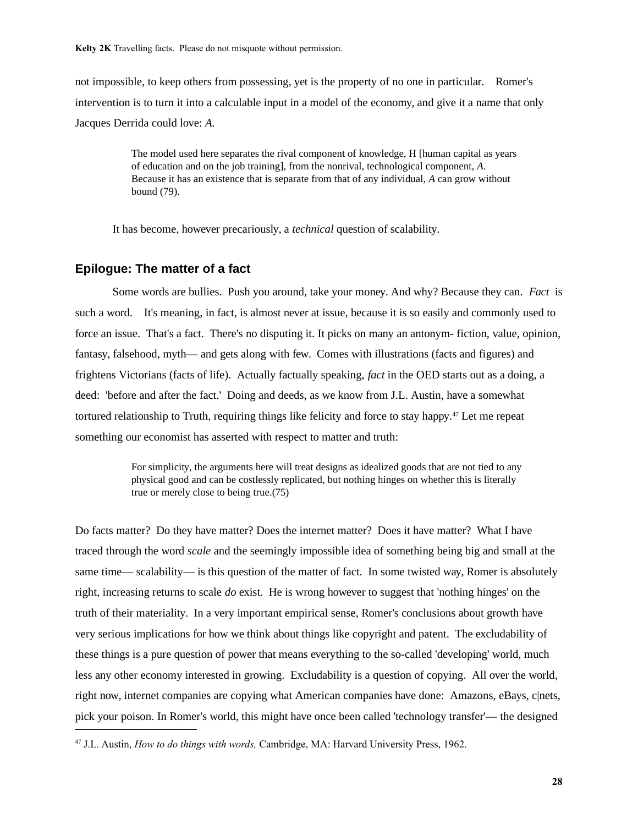not impossible, to keep others from possessing, yet is the property of no one in particular. Romer's intervention is to turn it into a calculable input in a model of the economy, and give it a name that only Jacques Derrida could love: *A.*

> The model used here separates the rival component of knowledge, H [human capital as years of education and on the job training], from the nonrival, technological component, *A*. Because it has an existence that is separate from that of any individual, *A* can grow without bound (79).

It has become, however precariously, a *technical* question of scalability.

## **Epilogue: The matter of a fact**

Some words are bullies. Push you around, take your money. And why? Because they can. *Fact* is such a word. It's meaning, in fact, is almost never at issue, because it is so easily and commonly used to force an issue. That's a fact. There's no disputing it. It picks on many an antonym- fiction, value, opinion, fantasy, falsehood, myth— and gets along with few. Comes with illustrations (facts and figures) and frightens Victorians (facts of life). Actually factually speaking, *fact* in the OED starts out as a doing, a deed: 'before and after the fact.' Doing and deeds, as we know from J.L. Austin, have a somewhat tortured relationship to Truth, requiring things like felicity and force to stay happy.[47](#page-27-0) Let me repeat something our economist has asserted with respect to matter and truth:

> For simplicity, the arguments here will treat designs as idealized goods that are not tied to any physical good and can be costlessly replicated, but nothing hinges on whether this is literally true or merely close to being true.(75)

Do facts matter? Do they have matter? Does the internet matter? Does it have matter? What I have traced through the word *scale* and the seemingly impossible idea of something being big and small at the same time— scalability— is this question of the matter of fact. In some twisted way, Romer is absolutely right, increasing returns to scale *do* exist. He is wrong however to suggest that 'nothing hinges' on the truth of their materiality. In a very important empirical sense, Romer's conclusions about growth have very serious implications for how we think about things like copyright and patent. The excludability of these things is a pure question of power that means everything to the so-called 'developing' world, much less any other economy interested in growing. Excludability is a question of copying. All over the world, right now, internet companies are copying what American companies have done: Amazons, eBays, c|nets, pick your poison. In Romer's world, this might have once been called 'technology transfer'— the designed

<span id="page-27-0"></span><sup>47</sup> J.L. Austin, *How to do things with words,* Cambridge, MA: Harvard University Press, 1962.